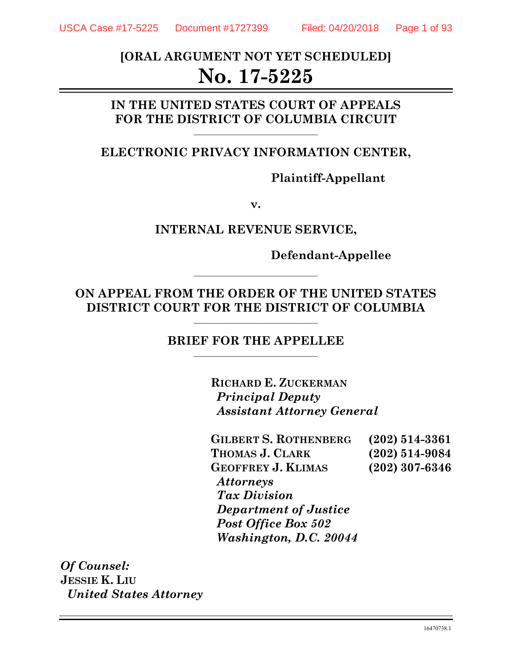# **[ORAL ARGUMENT NOT YET SCHEDULED] No. 17-5225**

## **IN THE UNITED STATES COURT OF APPEALS**  FOR THE DISTRICT OF COLUMBIA CIRCUIT

### **ELECTRONIC PRIVACY INFORMATION CENTER,**

**Plaintiff-Appellant** 

**v.** 

**INTERNAL REVENUE SERVICE,** 

**Defendant-Appellee** 

## **ON APPEAL FROM THE ORDER OF THE UNITED STATES**  DISTRICT COURT FOR THE DISTRICT OF COLUMBIA

**\_\_\_\_\_\_\_\_\_\_\_\_\_\_\_\_\_\_\_\_\_\_\_\_\_\_\_\_\_\_\_\_\_** 

#### **BRIEF FOR THE APPELLEE**

**RICHARD E. ZUCKERMAN** *Principal Deputy Assistant Attorney General* 

| <b>GILBERT S. ROTHENBERG</b> | $(202) 514 - 3361$ |
|------------------------------|--------------------|
| THOMAS J. CLARK              | $(202) 514 - 9084$ |
| <b>GEOFFREY J. KLIMAS</b>    | $(202)$ 307-6346   |
| <i><b>Attorneys</b></i>      |                    |
| <b>Tax Division</b>          |                    |
| <b>Department of Justice</b> |                    |
| <b>Post Office Box 502</b>   |                    |
| Washington, D.C. 20044       |                    |

*Of Counsel:*  **JESSIE K. LIU**  *United States Attorney*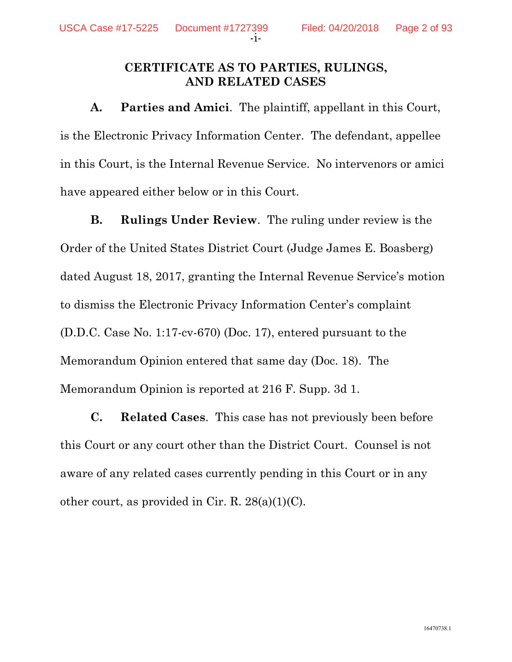### **CERTIFICATE AS TO PARTIES, RULINGS, AND RELATED CASES**

**A. Parties and Amici**. The plaintiff, appellant in this Court, is the Electronic Privacy Information Center. The defendant, appellee in this Court, is the Internal Revenue Service. No intervenors or amici have appeared either below or in this Court.

**B. Rulings Under Review**. The ruling under review is the Order of the United States District Court (Judge James E. Boasberg) dated August 18, 2017, granting the Internal Revenue Service's motion to dismiss the Electronic Privacy Information Center's complaint (D.D.C. Case No. 1:17-cv-670) (Doc. 17), entered pursuant to the Memorandum Opinion entered that same day (Doc. 18). The Memorandum Opinion is reported at 216 F. Supp. 3d 1.

**C. Related Cases**. This case has not previously been before this Court or any court other than the District Court. Counsel is not aware of any related cases currently pending in this Court or in any other court, as provided in Cir. R. 28(a)(1)(C).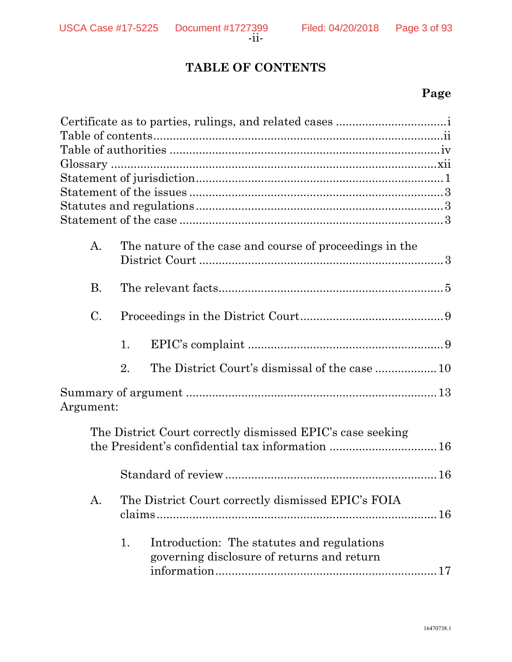# **TABLE OF CONTENTS**

# **Page**

| A.              | The nature of the case and course of proceedings in the |                                                                                                                |  |  |
|-----------------|---------------------------------------------------------|----------------------------------------------------------------------------------------------------------------|--|--|
|                 |                                                         |                                                                                                                |  |  |
| <b>B.</b>       |                                                         |                                                                                                                |  |  |
| $\mathcal{C}$ . |                                                         |                                                                                                                |  |  |
|                 | 1.                                                      |                                                                                                                |  |  |
|                 | 2.                                                      |                                                                                                                |  |  |
| Argument:       |                                                         |                                                                                                                |  |  |
|                 |                                                         | The District Court correctly dismissed EPIC's case seeking<br>the President's confidential tax information  16 |  |  |
|                 |                                                         |                                                                                                                |  |  |
| A.              |                                                         | The District Court correctly dismissed EPIC's FOIA                                                             |  |  |
|                 | 1.                                                      | Introduction: The statutes and regulations<br>governing disclosure of returns and return                       |  |  |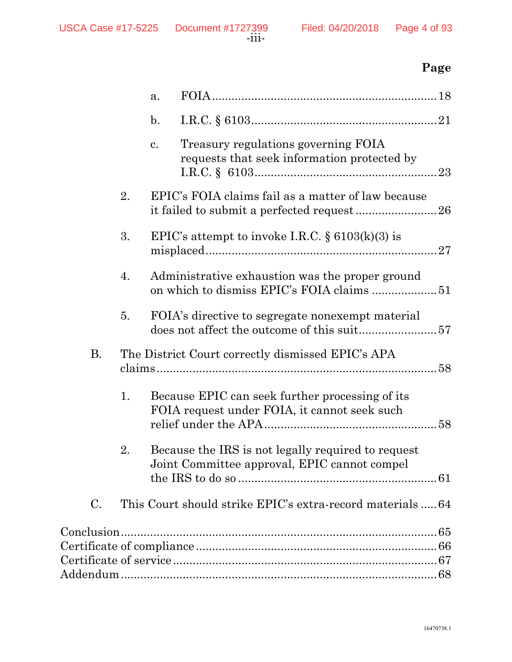# **Page**

|    |    | a.                                                      |                                                                                                    |
|----|----|---------------------------------------------------------|----------------------------------------------------------------------------------------------------|
|    |    | $\mathbf{b}$ .                                          |                                                                                                    |
|    |    | c.                                                      | Treasury regulations governing FOIA<br>requests that seek information protected by                 |
|    | 2. |                                                         | EPIC's FOIA claims fail as a matter of law because                                                 |
|    | 3. |                                                         | EPIC's attempt to invoke I.R.C. $\S$ 6103(k)(3) is<br>27                                           |
|    | 4. |                                                         | Administrative exhaustion was the proper ground                                                    |
|    | 5. |                                                         | FOIA's directive to segregate nonexempt material<br>does not affect the outcome of this suit57     |
| Β. |    | The District Court correctly dismissed EPIC's APA<br>58 |                                                                                                    |
|    | 1. |                                                         | Because EPIC can seek further processing of its<br>FOIA request under FOIA, it cannot seek such    |
|    | 2. |                                                         | Because the IRS is not legally required to request<br>Joint Committee approval, EPIC cannot compel |
| C. |    |                                                         | This Court should strike EPIC's extra-record materials  64                                         |
|    |    |                                                         |                                                                                                    |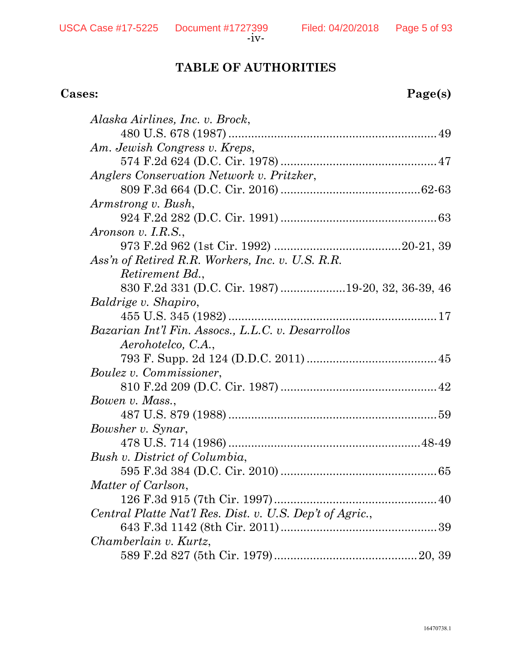# **TABLE OF AUTHORITIES**

# **Cases: Page(s)**

| Alaska Airlines, Inc. v. Brock,                          |
|----------------------------------------------------------|
|                                                          |
| Am. Jewish Congress v. Kreps,                            |
|                                                          |
| Anglers Conservation Network v. Pritzker,                |
|                                                          |
| Armstrong v. Bush,                                       |
|                                                          |
| Aronson v. I.R.S.,                                       |
|                                                          |
| Ass'n of Retired R.R. Workers, Inc. v. U.S. R.R.         |
| <i>Retirement Bd.,</i>                                   |
| 830 F.2d 331 (D.C. Cir. 1987) 19-20, 32, 36-39, 46       |
| Baldrige v. Shapiro,                                     |
|                                                          |
| Bazarian Int'l Fin. Assocs., L.L.C. v. Desarrollos       |
| Aerohotelco, C.A.,                                       |
|                                                          |
| <i>Boulez v. Commissioner,</i>                           |
|                                                          |
| Bowen v. Mass.,                                          |
|                                                          |
| Bowsher v. Synar,                                        |
|                                                          |
| Bush v. District of Columbia,                            |
|                                                          |
| Matter of Carlson,                                       |
| 126 F.3d 915 (7th Cir. 1997)                             |
| Central Platte Nat'l Res. Dist. v. U.S. Dep't of Agric., |
|                                                          |
| Chamberlain v. Kurtz,                                    |
|                                                          |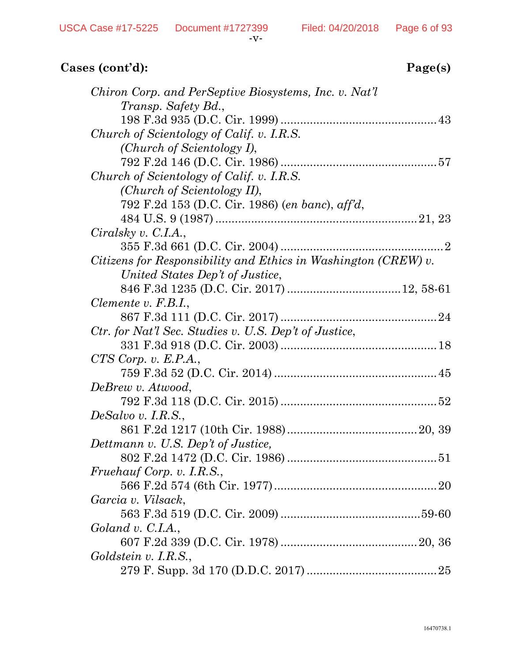| Chiron Corp. and PerSeptive Biosystems, Inc. v. Nat'l          |
|----------------------------------------------------------------|
| Transp. Safety Bd.,                                            |
|                                                                |
| Church of Scientology of Calif. v. I.R.S.                      |
| (Church of Scientology I),                                     |
|                                                                |
| Church of Scientology of Calif. v. I.R.S.                      |
| (Church of Scientology II),                                    |
| 792 F.2d 153 (D.C. Cir. 1986) (en banc), aff'd,                |
|                                                                |
| Ciralsky v. C.I.A.,                                            |
|                                                                |
| Citizens for Responsibility and Ethics in Washington (CREW) v. |
| United States Dep't of Justice,                                |
|                                                                |
| Clemente v. $F.B.I.,$                                          |
|                                                                |
| Ctr. for Nat'l Sec. Studies v. U.S. Dep't of Justice,          |
|                                                                |
| $CTS\; Corp. \; v. \; E.P.A.,$                                 |
|                                                                |
| DeBrew v. Atwood,                                              |
|                                                                |
| $DeSalvo$ v. I.R.S.,                                           |
|                                                                |
| Dettmann v. U.S. Dep't of Justice,                             |
|                                                                |
| Fruehauf Corp. v. I.R.S.,                                      |
|                                                                |
| Garcia v. Vilsack,                                             |
|                                                                |
| Goland v. C.I.A.,                                              |
|                                                                |
| Goldstein v. I.R.S.,                                           |
|                                                                |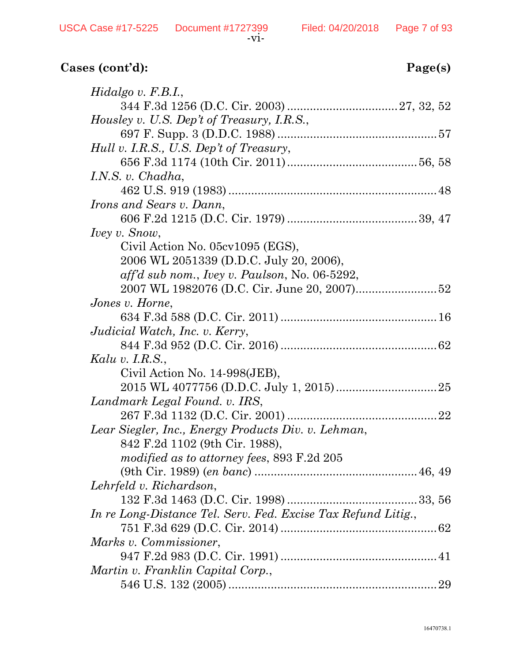| $Hidalgo$ v. $F.B.I.,$                                        |
|---------------------------------------------------------------|
|                                                               |
| Housley v. U.S. Dep't of Treasury, I.R.S.,                    |
|                                                               |
| Hull v. I.R.S., U.S. Dep't of Treasury,                       |
|                                                               |
| I.N.S. v. $Chadha$ ,                                          |
|                                                               |
| <i>Irons and Sears v. Dann,</i>                               |
|                                                               |
| <i>Ivey v. Snow,</i>                                          |
| Civil Action No. 05cv1095 (EGS),                              |
| 2006 WL 2051339 (D.D.C. July 20, 2006),                       |
| $aff'd$ sub nom., Ivey v. Paulson, No. 06-5292,               |
|                                                               |
| Jones v. Horne,                                               |
|                                                               |
| Judicial Watch, Inc. v. Kerry,                                |
|                                                               |
| Kalu v. I.R.S.,                                               |
| Civil Action No. 14-998(JEB),                                 |
|                                                               |
| Landmark Legal Found. v. IRS,                                 |
|                                                               |
| Lear Siegler, Inc., Energy Products Div. v. Lehman,           |
| 842 F.2d 1102 (9th Cir. 1988),                                |
| modified as to attorney fees, 893 F.2d 205                    |
|                                                               |
| Lehrfeld v. Richardson,                                       |
|                                                               |
| In re Long-Distance Tel. Serv. Fed. Excise Tax Refund Litig., |
|                                                               |
| Marks v. Commissioner,                                        |
|                                                               |
| Martin v. Franklin Capital Corp.,                             |
|                                                               |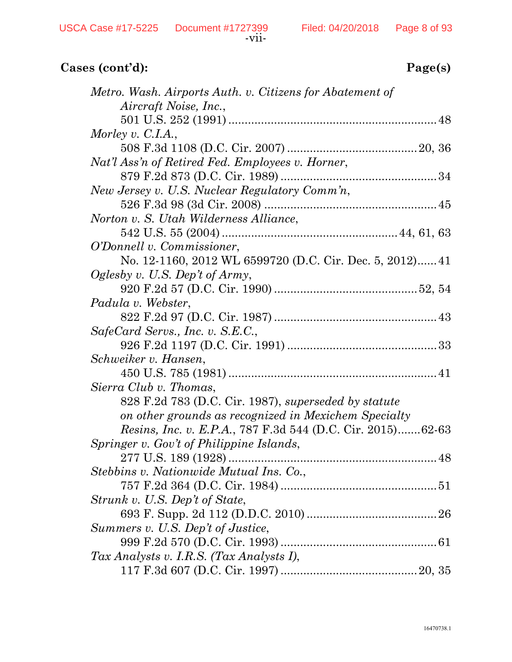| Metro. Wash. Airports Auth. v. Citizens for Abatement of           |
|--------------------------------------------------------------------|
| Aircraft Noise, Inc.,                                              |
|                                                                    |
| Morley v. C.I.A.,                                                  |
|                                                                    |
| Nat'l Ass'n of Retired Fed. Employees v. Horner,                   |
|                                                                    |
| New Jersey v. U.S. Nuclear Regulatory Comm'n,                      |
|                                                                    |
| Norton v. S. Utah Wilderness Alliance,                             |
|                                                                    |
| <i>O'Donnell v. Commissioner,</i>                                  |
| No. 12-1160, 2012 WL 6599720 (D.C. Cir. Dec. 5, 2012) 41           |
| Oglesby v. U.S. Dep't of Army,                                     |
|                                                                    |
| Padula v. Webster,                                                 |
|                                                                    |
| SafeCard Servs., Inc. v. S.E.C.,                                   |
|                                                                    |
| Schweiker v. Hansen,                                               |
|                                                                    |
| Sierra Club v. Thomas,                                             |
| 828 F.2d 783 (D.C. Cir. 1987), superseded by statute               |
| on other grounds as recognized in Mexichem Specialty               |
| <i>Resins, Inc. v. E.P.A.</i> , 787 F.3d 544 (D.C. Cir. 2015)62-63 |
| Springer v. Gov't of Philippine Islands,                           |
|                                                                    |
| Stebbins v. Nationwide Mutual Ins. Co.,                            |
|                                                                    |
| Strunk v. U.S. Dep't of State,                                     |
|                                                                    |
| Summers v. U.S. Dep't of Justice,                                  |
|                                                                    |
| Tax Analysts v. I.R.S. (Tax Analysts I),                           |
|                                                                    |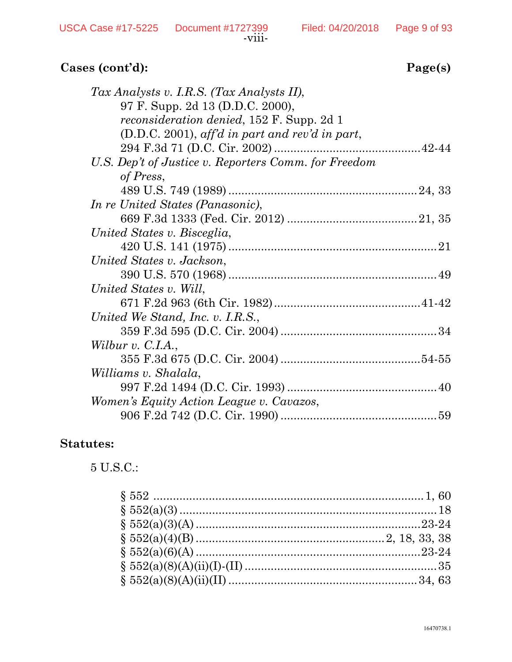| age(s) |  |
|--------|--|
|        |  |

| Tax Analysts v. I.R.S. (Tax Analysts II),            |  |
|------------------------------------------------------|--|
| 97 F. Supp. 2d 13 (D.D.C. 2000),                     |  |
| <i>reconsideration denied</i> , 152 F. Supp. 2d 1    |  |
| $(D.D.C. 2001)$ , aff'd in part and rev'd in part,   |  |
|                                                      |  |
| U.S. Dep't of Justice v. Reporters Comm. for Freedom |  |
| of Press,                                            |  |
|                                                      |  |
| In re United States (Panasonic),                     |  |
|                                                      |  |
| United States v. Bisceglia,                          |  |
|                                                      |  |
| United States v. Jackson,                            |  |
|                                                      |  |
| United States v. Will,                               |  |
|                                                      |  |
| United We Stand, Inc. v. I.R.S.,                     |  |
|                                                      |  |
| Wilbur v. C.I.A.,                                    |  |
|                                                      |  |
| Williams v. Shalala,                                 |  |
|                                                      |  |
| Women's Equity Action League v. Cavazos,             |  |
|                                                      |  |

### **Statutes:**

5 U.S.C.: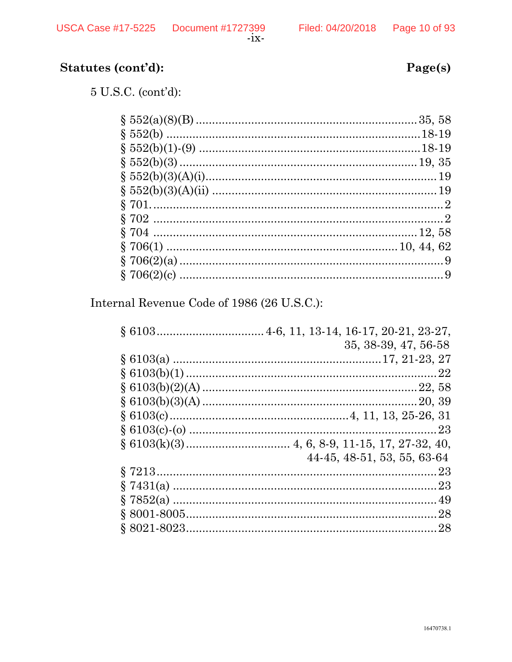# Statutes (cont'd):

 $5$  U.S.C. (cont'd):

Internal Revenue Code of 1986 (26 U.S.C.):

| 35, 38-39, 47, 56-58        |
|-----------------------------|
|                             |
|                             |
|                             |
|                             |
|                             |
|                             |
|                             |
| 44-45, 48-51, 53, 55, 63-64 |
|                             |
|                             |
|                             |
|                             |
|                             |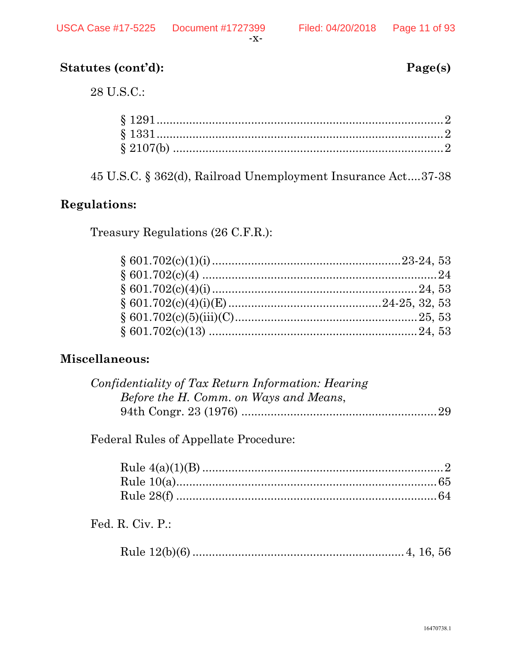Page(s)

# Statutes (cont'd):

28 U.S.C.:

45 U.S.C. § 362(d), Railroad Unemployment Insurance Act....37-38

## **Regulations:**

Treasury Regulations (26 C.F.R.):

## Miscellaneous:

| Confidentiality of Tax Return Information: Hearing |  |
|----------------------------------------------------|--|
| Before the H. Comm. on Ways and Means,             |  |
|                                                    |  |

**Federal Rules of Appellate Procedure:** 

Fed. R. Civ. P.:

|--|--|--|--|--|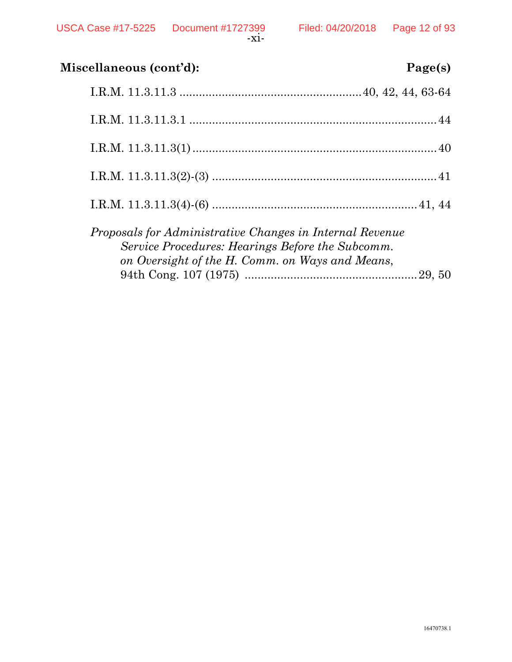| Miscellaneous (cont'd):<br>Page(s)                                                                                                                              |  |
|-----------------------------------------------------------------------------------------------------------------------------------------------------------------|--|
|                                                                                                                                                                 |  |
|                                                                                                                                                                 |  |
|                                                                                                                                                                 |  |
|                                                                                                                                                                 |  |
|                                                                                                                                                                 |  |
| Proposals for Administrative Changes in Internal Revenue<br>Service Procedures: Hearings Before the Subcomm.<br>on Oversight of the H. Comm. on Ways and Means, |  |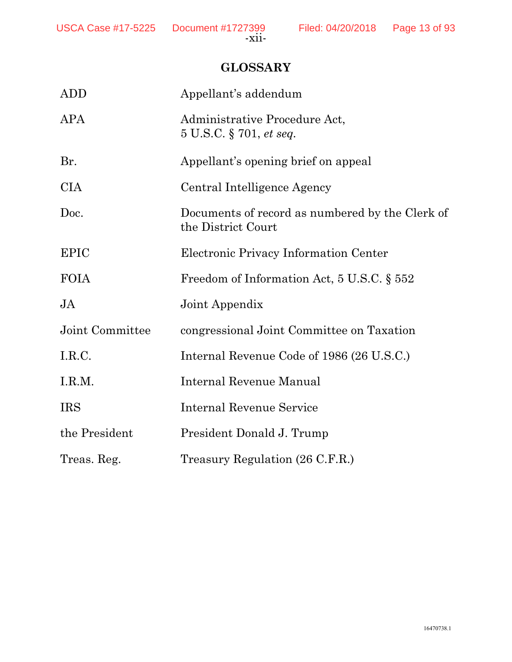# **GLOSSARY**

| <b>ADD</b>      | Appellant's addendum                                                  |
|-----------------|-----------------------------------------------------------------------|
| APA             | Administrative Procedure Act,<br>5 U.S.C. § 701, et seq.              |
| Br.             | Appellant's opening brief on appeal                                   |
| <b>CIA</b>      | Central Intelligence Agency                                           |
| Doc.            | Documents of record as numbered by the Clerk of<br>the District Court |
| <b>EPIC</b>     | Electronic Privacy Information Center                                 |
| <b>FOIA</b>     | Freedom of Information Act, 5 U.S.C. § 552                            |
| $\overline{A}$  | Joint Appendix                                                        |
| Joint Committee | congressional Joint Committee on Taxation                             |
| I.R.C.          | Internal Revenue Code of 1986 (26 U.S.C.)                             |
| I.R.M.          | Internal Revenue Manual                                               |
| <b>IRS</b>      | Internal Revenue Service                                              |
| the President   | President Donald J. Trump                                             |
| Treas. Reg.     | Treasury Regulation (26 C.F.R.)                                       |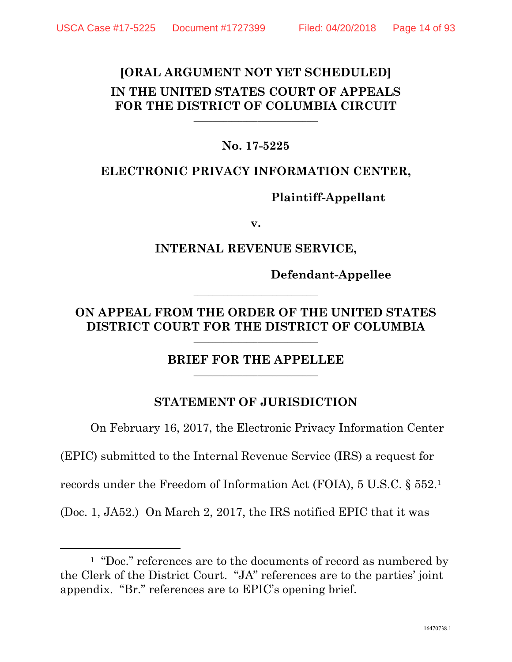## **[ORAL ARGUMENT NOT YET SCHEDULED] IN THE UNITED STATES COURT OF APPEALS**  FOR THE DISTRICT OF COLUMBIA CIRCUIT

#### **No. 17-5225**

## **ELECTRONIC PRIVACY INFORMATION CENTER,**

### **Plaintiff-Appellant**

**v.** 

### **INTERNAL REVENUE SERVICE,**

**Defendant-Appellee** 

## **ON APPEAL FROM THE ORDER OF THE UNITED STATES**  DISTRICT COURT FOR THE DISTRICT OF COLUMBIA

**\_\_\_\_\_\_\_\_\_\_\_\_\_\_\_\_\_\_\_\_\_\_\_\_\_\_\_\_\_\_\_\_\_** 

### **BRIEF FOR THE APPELLEE**

#### **STATEMENT OF JURISDICTION**

On February 16, 2017, the Electronic Privacy Information Center

(EPIC) submitted to the Internal Revenue Service (IRS) a request for

records under the Freedom of Information Act (FOIA), 5 U.S.C. § 552.1

(Doc. 1, JA52.) On March 2, 2017, the IRS notified EPIC that it was

<sup>&</sup>lt;sup>1</sup> "Doc." references are to the documents of record as numbered by the Clerk of the District Court. "JA" references are to the parties' joint appendix. "Br." references are to EPIC's opening brief.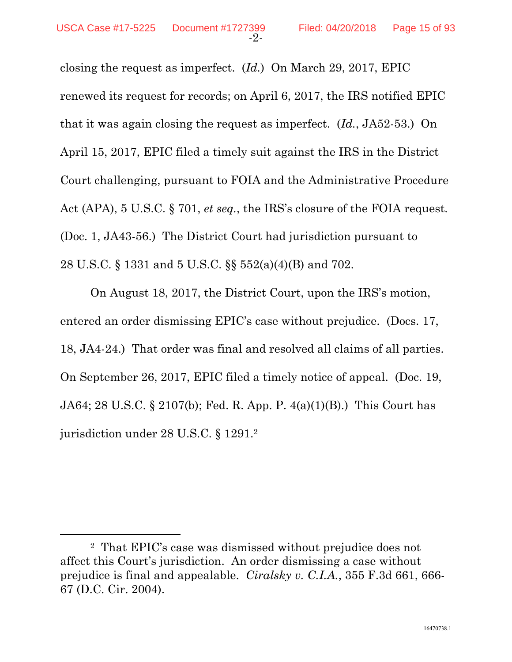closing the request as imperfect. (*Id.*) On March 29, 2017, EPIC renewed its request for records; on April 6, 2017, the IRS notified EPIC that it was again closing the request as imperfect. (*Id.*, JA52-53.) On April 15, 2017, EPIC filed a timely suit against the IRS in the District Court challenging, pursuant to FOIA and the Administrative Procedure Act (APA), 5 U.S.C. § 701, *et seq.*, the IRS's closure of the FOIA request*.* (Doc. 1, JA43-56.) The District Court had jurisdiction pursuant to 28 U.S.C. § 1331 and 5 U.S.C. §§ 552(a)(4)(B) and 702.

On August 18, 2017, the District Court, upon the IRS's motion, entered an order dismissing EPIC's case without prejudice. (Docs. 17, 18, JA4-24.) That order was final and resolved all claims of all parties. On September 26, 2017, EPIC filed a timely notice of appeal. (Doc. 19, JA64; 28 U.S.C. § 2107(b); Fed. R. App. P. 4(a)(1)(B).) This Court has jurisdiction under 28 U.S.C. § 1291.2

 <sup>2</sup> That EPIC's case was dismissed without prejudice does not affect this Court's jurisdiction. An order dismissing a case without prejudice is final and appealable. *Ciralsky v. C.I.A.*, 355 F.3d 661, 666- 67 (D.C. Cir. 2004).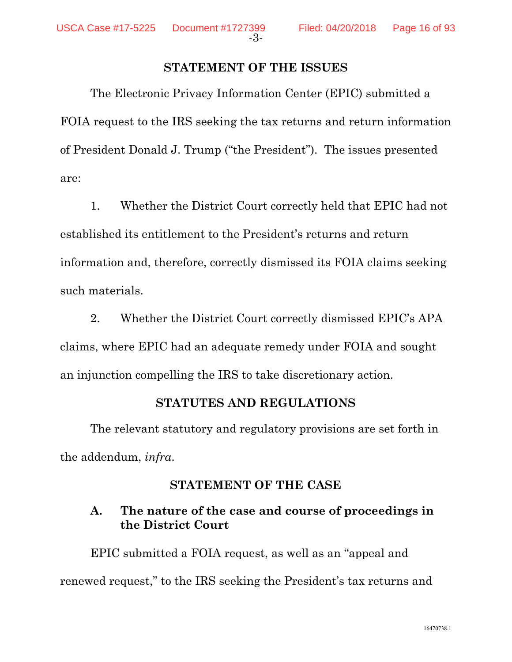#### **STATEMENT OF THE ISSUES**

The Electronic Privacy Information Center (EPIC) submitted a FOIA request to the IRS seeking the tax returns and return information of President Donald J. Trump ("the President"). The issues presented are:

1. Whether the District Court correctly held that EPIC had not established its entitlement to the President's returns and return information and, therefore, correctly dismissed its FOIA claims seeking such materials.

2. Whether the District Court correctly dismissed EPIC's APA claims, where EPIC had an adequate remedy under FOIA and sought an injunction compelling the IRS to take discretionary action.

#### **STATUTES AND REGULATIONS**

The relevant statutory and regulatory provisions are set forth in the addendum, *infra*.

### **STATEMENT OF THE CASE**

## **A. The nature of the case and course of proceedings in the District Court**

EPIC submitted a FOIA request, as well as an "appeal and renewed request," to the IRS seeking the President's tax returns and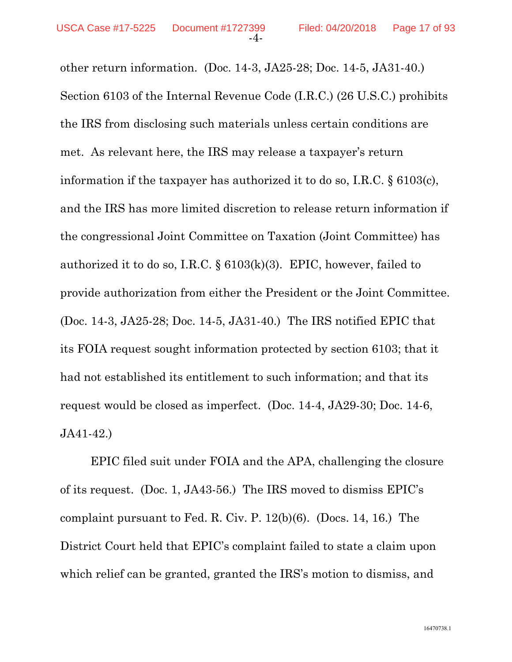other return information. (Doc. 14-3, JA25-28; Doc. 14-5, JA31-40.) Section 6103 of the Internal Revenue Code (I.R.C.) (26 U.S.C.) prohibits the IRS from disclosing such materials unless certain conditions are met. As relevant here, the IRS may release a taxpayer's return information if the taxpayer has authorized it to do so, I.R.C. § 6103(c), and the IRS has more limited discretion to release return information if the congressional Joint Committee on Taxation (Joint Committee) has authorized it to do so, I.R.C.  $\S 6103(k)(3)$ . EPIC, however, failed to provide authorization from either the President or the Joint Committee. (Doc. 14-3, JA25-28; Doc. 14-5, JA31-40.) The IRS notified EPIC that its FOIA request sought information protected by section 6103; that it had not established its entitlement to such information; and that its request would be closed as imperfect. (Doc. 14-4, JA29-30; Doc. 14-6, JA41-42.)

EPIC filed suit under FOIA and the APA, challenging the closure of its request. (Doc. 1, JA43-56.) The IRS moved to dismiss EPIC's complaint pursuant to Fed. R. Civ. P. 12(b)(6). (Docs. 14, 16.) The District Court held that EPIC's complaint failed to state a claim upon which relief can be granted, granted the IRS's motion to dismiss, and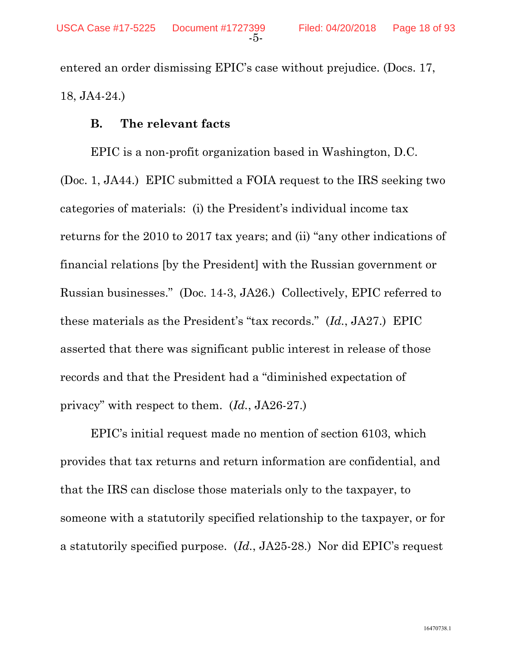entered an order dismissing EPIC's case without prejudice. (Docs. 17, 18, JA4-24.)

#### **B. The relevant facts**

EPIC is a non-profit organization based in Washington, D.C. (Doc. 1, JA44.) EPIC submitted a FOIA request to the IRS seeking two categories of materials: (i) the President's individual income tax returns for the 2010 to 2017 tax years; and (ii) "any other indications of financial relations [by the President] with the Russian government or Russian businesses." (Doc. 14-3, JA26.) Collectively, EPIC referred to these materials as the President's "tax records." (*Id.*, JA27.) EPIC asserted that there was significant public interest in release of those records and that the President had a "diminished expectation of privacy" with respect to them. (*Id.*, JA26-27.)

EPIC's initial request made no mention of section 6103, which provides that tax returns and return information are confidential, and that the IRS can disclose those materials only to the taxpayer, to someone with a statutorily specified relationship to the taxpayer, or for a statutorily specified purpose. (*Id.*, JA25-28.) Nor did EPIC's request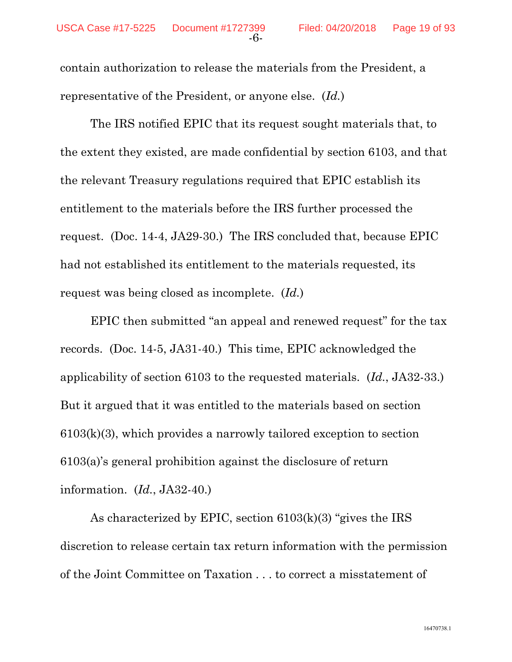contain authorization to release the materials from the President, a representative of the President, or anyone else. (*Id.*)

The IRS notified EPIC that its request sought materials that, to the extent they existed, are made confidential by section 6103, and that the relevant Treasury regulations required that EPIC establish its entitlement to the materials before the IRS further processed the request. (Doc. 14-4, JA29-30.) The IRS concluded that, because EPIC had not established its entitlement to the materials requested, its request was being closed as incomplete. (*Id.*)

EPIC then submitted "an appeal and renewed request" for the tax records. (Doc. 14-5, JA31-40.) This time, EPIC acknowledged the applicability of section 6103 to the requested materials. (*Id.*, JA32-33.) But it argued that it was entitled to the materials based on section 6103(k)(3), which provides a narrowly tailored exception to section 6103(a)'s general prohibition against the disclosure of return information. (*Id.*, JA32-40.)

As characterized by EPIC, section 6103(k)(3) "gives the IRS discretion to release certain tax return information with the permission of the Joint Committee on Taxation . . . to correct a misstatement of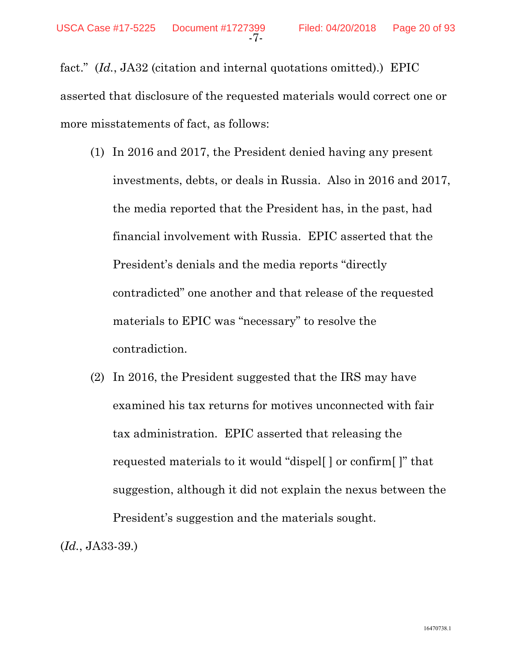fact." (*Id.*, JA32 (citation and internal quotations omitted).) EPIC asserted that disclosure of the requested materials would correct one or more misstatements of fact, as follows:

- (1) In 2016 and 2017, the President denied having any present investments, debts, or deals in Russia. Also in 2016 and 2017, the media reported that the President has, in the past, had financial involvement with Russia. EPIC asserted that the President's denials and the media reports "directly contradicted" one another and that release of the requested materials to EPIC was "necessary" to resolve the contradiction.
- (2) In 2016, the President suggested that the IRS may have examined his tax returns for motives unconnected with fair tax administration. EPIC asserted that releasing the requested materials to it would "dispel[ ] or confirm[ ]" that suggestion, although it did not explain the nexus between the President's suggestion and the materials sought.

(*Id.*, JA33-39.)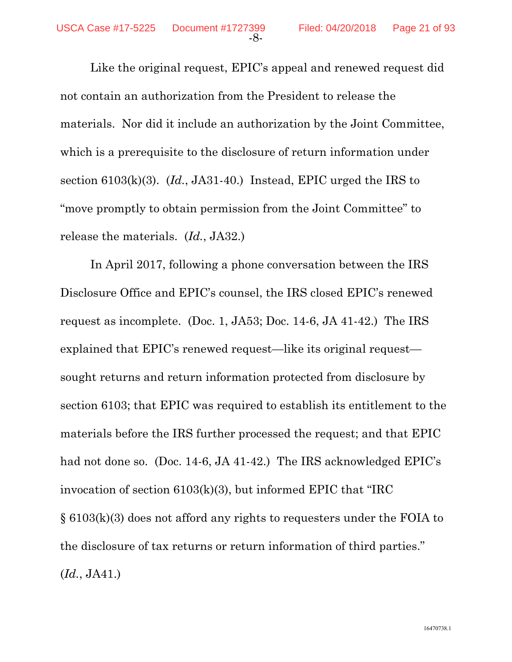Like the original request, EPIC's appeal and renewed request did not contain an authorization from the President to release the materials. Nor did it include an authorization by the Joint Committee, which is a prerequisite to the disclosure of return information under section 6103(k)(3). (*Id.*, JA31-40.) Instead, EPIC urged the IRS to "move promptly to obtain permission from the Joint Committee" to release the materials. (*Id.*, JA32.)

In April 2017, following a phone conversation between the IRS Disclosure Office and EPIC's counsel, the IRS closed EPIC's renewed request as incomplete. (Doc. 1, JA53; Doc. 14-6, JA 41-42.) The IRS explained that EPIC's renewed request—like its original request sought returns and return information protected from disclosure by section 6103; that EPIC was required to establish its entitlement to the materials before the IRS further processed the request; and that EPIC had not done so. (Doc. 14-6, JA 41-42.) The IRS acknowledged EPIC's invocation of section 6103(k)(3), but informed EPIC that "IRC § 6103(k)(3) does not afford any rights to requesters under the FOIA to the disclosure of tax returns or return information of third parties." (*Id.*, JA41.)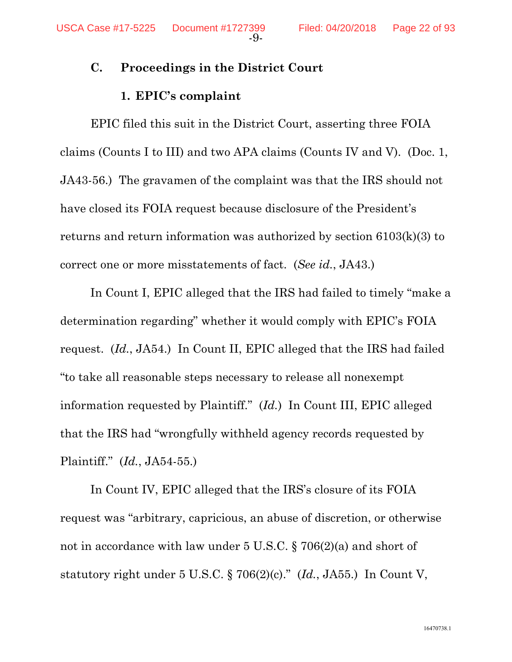### **C. Proceedings in the District Court**

### **1. EPIC's complaint**

EPIC filed this suit in the District Court, asserting three FOIA claims (Counts I to III) and two APA claims (Counts IV and V). (Doc. 1, JA43-56.) The gravamen of the complaint was that the IRS should not have closed its FOIA request because disclosure of the President's returns and return information was authorized by section 6103(k)(3) to correct one or more misstatements of fact. (*See id.*, JA43.)

In Count I, EPIC alleged that the IRS had failed to timely "make a determination regarding" whether it would comply with EPIC's FOIA request. (*Id.*, JA54.) In Count II, EPIC alleged that the IRS had failed "to take all reasonable steps necessary to release all nonexempt information requested by Plaintiff." (*Id.*) In Count III, EPIC alleged that the IRS had "wrongfully withheld agency records requested by Plaintiff." (*Id.*, JA54-55.)

In Count IV, EPIC alleged that the IRS's closure of its FOIA request was "arbitrary, capricious, an abuse of discretion, or otherwise not in accordance with law under 5 U.S.C. § 706(2)(a) and short of statutory right under 5 U.S.C. § 706(2)(c)." (*Id.*, JA55.) In Count V,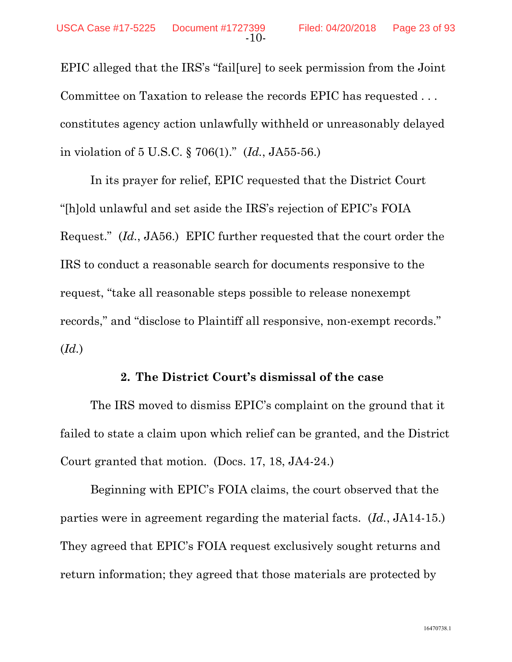EPIC alleged that the IRS's "fail[ure] to seek permission from the Joint Committee on Taxation to release the records EPIC has requested . . . constitutes agency action unlawfully withheld or unreasonably delayed in violation of 5 U.S.C. § 706(1)." (*Id.*, JA55-56.)

In its prayer for relief, EPIC requested that the District Court "[h]old unlawful and set aside the IRS's rejection of EPIC's FOIA Request." (*Id.*, JA56.) EPIC further requested that the court order the IRS to conduct a reasonable search for documents responsive to the request, "take all reasonable steps possible to release nonexempt records," and "disclose to Plaintiff all responsive, non-exempt records." (*Id.*)

#### **2. The District Court's dismissal of the case**

The IRS moved to dismiss EPIC's complaint on the ground that it failed to state a claim upon which relief can be granted, and the District Court granted that motion. (Docs. 17, 18, JA4-24.)

Beginning with EPIC's FOIA claims, the court observed that the parties were in agreement regarding the material facts. (*Id.*, JA14-15.) They agreed that EPIC's FOIA request exclusively sought returns and return information; they agreed that those materials are protected by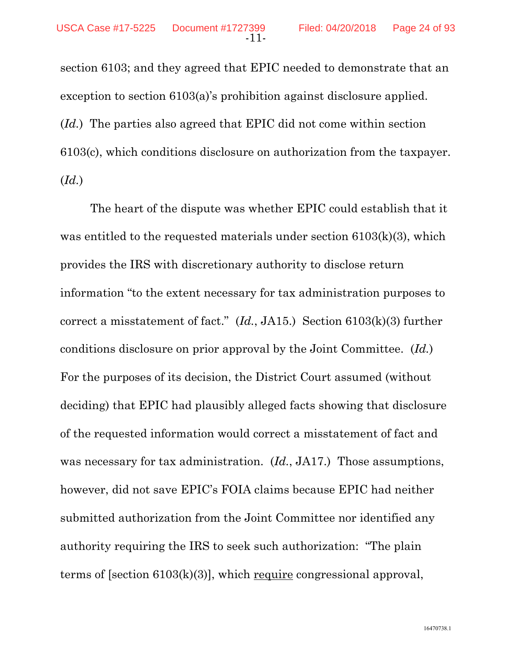section 6103; and they agreed that EPIC needed to demonstrate that an exception to section 6103(a)'s prohibition against disclosure applied. (*Id.*) The parties also agreed that EPIC did not come within section 6103(c), which conditions disclosure on authorization from the taxpayer. (*Id.*)

The heart of the dispute was whether EPIC could establish that it was entitled to the requested materials under section 6103(k)(3), which provides the IRS with discretionary authority to disclose return information "to the extent necessary for tax administration purposes to correct a misstatement of fact." (*Id.*, JA15.) Section 6103(k)(3) further conditions disclosure on prior approval by the Joint Committee. (*Id.*) For the purposes of its decision, the District Court assumed (without deciding) that EPIC had plausibly alleged facts showing that disclosure of the requested information would correct a misstatement of fact and was necessary for tax administration. (*Id.*, JA17.) Those assumptions, however, did not save EPIC's FOIA claims because EPIC had neither submitted authorization from the Joint Committee nor identified any authority requiring the IRS to seek such authorization: "The plain terms of [section 6103(k)(3)], which require congressional approval,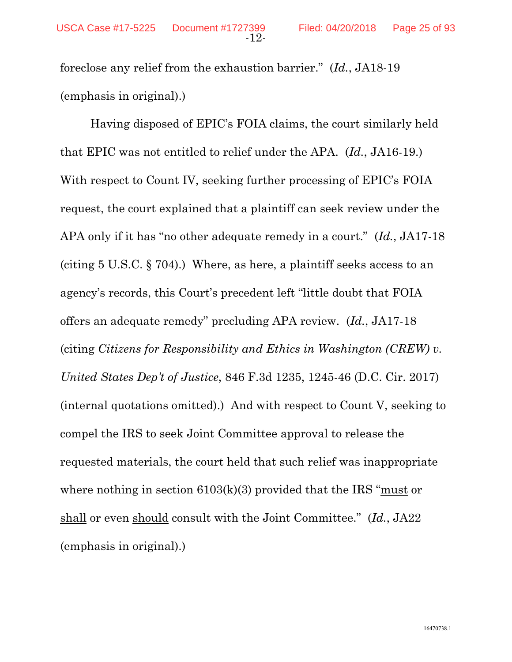foreclose any relief from the exhaustion barrier." (*Id.*, JA18-19 (emphasis in original).)

Having disposed of EPIC's FOIA claims, the court similarly held that EPIC was not entitled to relief under the APA. (*Id.*, JA16-19.) With respect to Count IV, seeking further processing of EPIC's FOIA request, the court explained that a plaintiff can seek review under the APA only if it has "no other adequate remedy in a court." (*Id.*, JA17-18 (citing 5 U.S.C. § 704).) Where, as here, a plaintiff seeks access to an agency's records, this Court's precedent left "little doubt that FOIA offers an adequate remedy" precluding APA review. (*Id.*, JA17-18 (citing *Citizens for Responsibility and Ethics in Washington (CREW) v. United States Dep't of Justice*, 846 F.3d 1235, 1245-46 (D.C. Cir. 2017) (internal quotations omitted).) And with respect to Count V, seeking to compel the IRS to seek Joint Committee approval to release the requested materials, the court held that such relief was inappropriate where nothing in section  $6103(k)(3)$  provided that the IRS "must or shall or even should consult with the Joint Committee." (*Id.*, JA22 (emphasis in original).)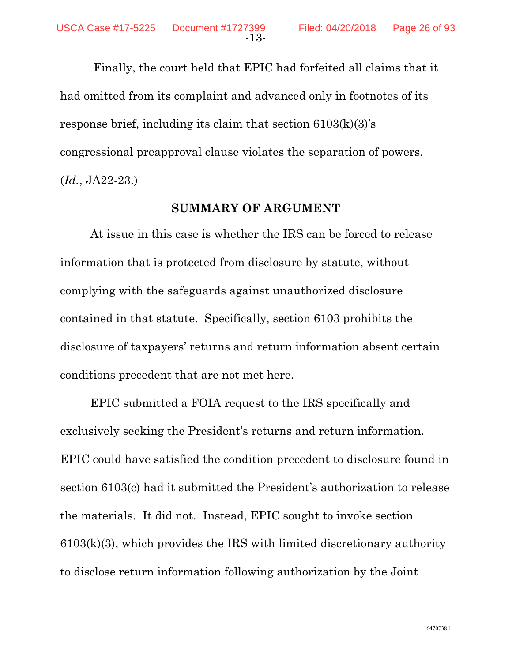Finally, the court held that EPIC had forfeited all claims that it had omitted from its complaint and advanced only in footnotes of its response brief, including its claim that section 6103(k)(3)'s congressional preapproval clause violates the separation of powers. (*Id.*, JA22-23.)

#### **SUMMARY OF ARGUMENT**

At issue in this case is whether the IRS can be forced to release information that is protected from disclosure by statute, without complying with the safeguards against unauthorized disclosure contained in that statute. Specifically, section 6103 prohibits the disclosure of taxpayers' returns and return information absent certain conditions precedent that are not met here.

EPIC submitted a FOIA request to the IRS specifically and exclusively seeking the President's returns and return information. EPIC could have satisfied the condition precedent to disclosure found in section 6103(c) had it submitted the President's authorization to release the materials. It did not. Instead, EPIC sought to invoke section  $6103(k)(3)$ , which provides the IRS with limited discretionary authority to disclose return information following authorization by the Joint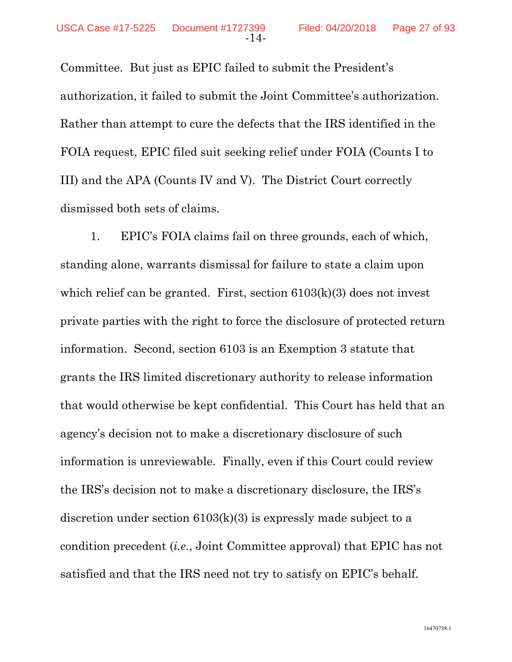Committee. But just as EPIC failed to submit the President's authorization, it failed to submit the Joint Committee's authorization. Rather than attempt to cure the defects that the IRS identified in the FOIA request, EPIC filed suit seeking relief under FOIA (Counts I to III) and the APA (Counts IV and V). The District Court correctly dismissed both sets of claims.

1. EPIC's FOIA claims fail on three grounds, each of which, standing alone, warrants dismissal for failure to state a claim upon which relief can be granted. First, section  $6103(k)(3)$  does not invest private parties with the right to force the disclosure of protected return information. Second, section 6103 is an Exemption 3 statute that grants the IRS limited discretionary authority to release information that would otherwise be kept confidential. This Court has held that an agency's decision not to make a discretionary disclosure of such information is unreviewable. Finally, even if this Court could review the IRS's decision not to make a discretionary disclosure, the IRS's discretion under section 6103(k)(3) is expressly made subject to a condition precedent (*i.e.*, Joint Committee approval) that EPIC has not satisfied and that the IRS need not try to satisfy on EPIC's behalf.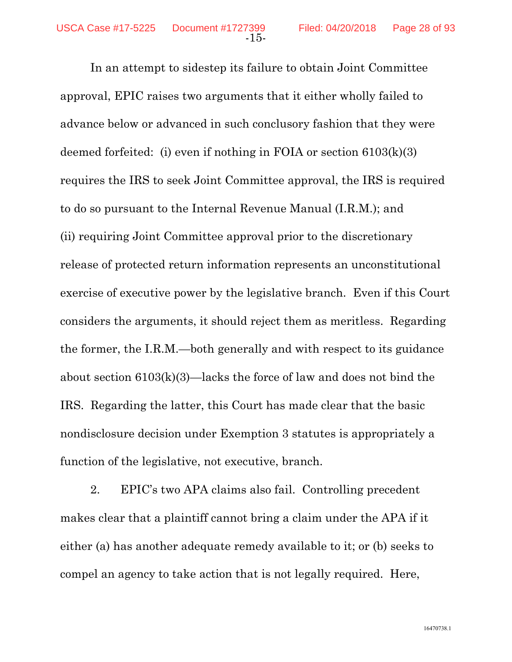In an attempt to sidestep its failure to obtain Joint Committee approval, EPIC raises two arguments that it either wholly failed to advance below or advanced in such conclusory fashion that they were deemed forfeited: (i) even if nothing in FOIA or section 6103(k)(3) requires the IRS to seek Joint Committee approval, the IRS is required to do so pursuant to the Internal Revenue Manual (I.R.M.); and (ii) requiring Joint Committee approval prior to the discretionary release of protected return information represents an unconstitutional exercise of executive power by the legislative branch. Even if this Court considers the arguments, it should reject them as meritless. Regarding the former, the I.R.M.—both generally and with respect to its guidance about section 6103(k)(3)—lacks the force of law and does not bind the IRS. Regarding the latter, this Court has made clear that the basic nondisclosure decision under Exemption 3 statutes is appropriately a function of the legislative, not executive, branch.

-15-

2. EPIC's two APA claims also fail. Controlling precedent makes clear that a plaintiff cannot bring a claim under the APA if it either (a) has another adequate remedy available to it; or (b) seeks to compel an agency to take action that is not legally required. Here,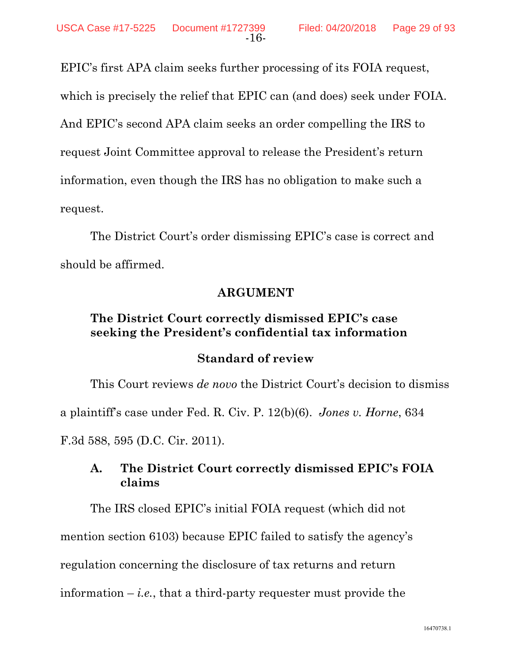EPIC's first APA claim seeks further processing of its FOIA request, which is precisely the relief that EPIC can (and does) seek under FOIA. And EPIC's second APA claim seeks an order compelling the IRS to request Joint Committee approval to release the President's return information, even though the IRS has no obligation to make such a request.

-16-

The District Court's order dismissing EPIC's case is correct and should be affirmed.

## **ARGUMENT**

## **The District Court correctly dismissed EPIC's case seeking the President's confidential tax information**

### **Standard of review**

This Court reviews *de novo* the District Court's decision to dismiss a plaintiff's case under Fed. R. Civ. P. 12(b)(6). *Jones v. Horne*, 634 F.3d 588, 595 (D.C. Cir. 2011).

## **A. The District Court correctly dismissed EPIC's FOIA claims**

The IRS closed EPIC's initial FOIA request (which did not mention section 6103) because EPIC failed to satisfy the agency's regulation concerning the disclosure of tax returns and return information  $-i.e.,$  that a third-party requester must provide the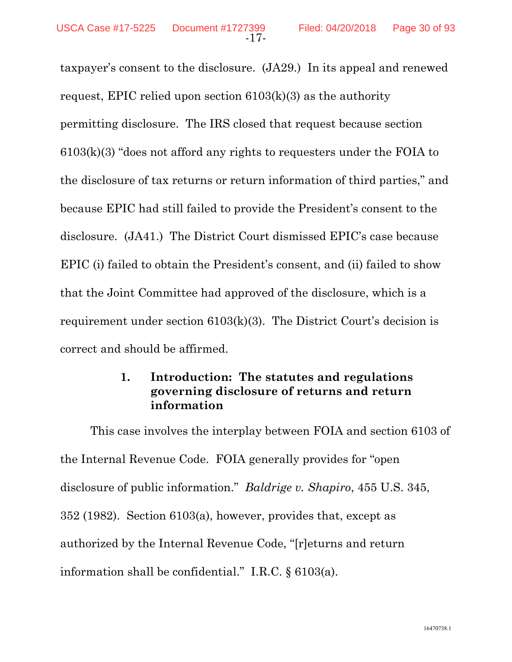taxpayer's consent to the disclosure. (JA29.) In its appeal and renewed request, EPIC relied upon section  $6103(k)(3)$  as the authority permitting disclosure. The IRS closed that request because section 6103(k)(3) "does not afford any rights to requesters under the FOIA to the disclosure of tax returns or return information of third parties," and because EPIC had still failed to provide the President's consent to the disclosure. (JA41.) The District Court dismissed EPIC's case because EPIC (i) failed to obtain the President's consent, and (ii) failed to show that the Joint Committee had approved of the disclosure, which is a requirement under section 6103(k)(3). The District Court's decision is correct and should be affirmed.

## **1. Introduction: The statutes and regulations governing disclosure of returns and return information**

This case involves the interplay between FOIA and section 6103 of the Internal Revenue Code. FOIA generally provides for "open disclosure of public information." *Baldrige v. Shapiro*, 455 U.S. 345, 352 (1982). Section 6103(a), however, provides that, except as authorized by the Internal Revenue Code, "[r]eturns and return information shall be confidential." I.R.C. § 6103(a).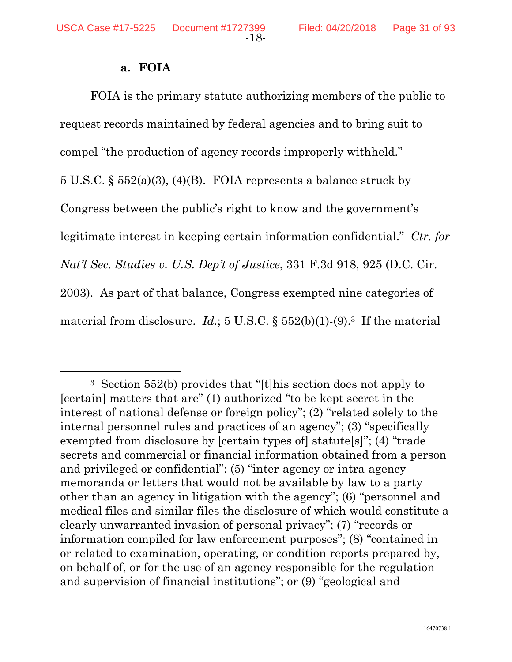#### **a. FOIA**

FOIA is the primary statute authorizing members of the public to request records maintained by federal agencies and to bring suit to compel "the production of agency records improperly withheld." 5 U.S.C. § 552(a)(3), (4)(B). FOIA represents a balance struck by Congress between the public's right to know and the government's legitimate interest in keeping certain information confidential." *Ctr. for Nat'l Sec. Studies v. U.S. Dep't of Justice*, 331 F.3d 918, 925 (D.C. Cir. 2003). As part of that balance, Congress exempted nine categories of material from disclosure. *Id.*; 5 U.S.C. §  $552(b)(1)-(9).$ <sup>3</sup> If the material

 <sup>3</sup> Section 552(b) provides that "[t]his section does not apply to [certain] matters that are" (1) authorized "to be kept secret in the interest of national defense or foreign policy"; (2) "related solely to the internal personnel rules and practices of an agency"; (3) "specifically exempted from disclosure by [certain types of] statute[s]"; (4) "trade secrets and commercial or financial information obtained from a person and privileged or confidential"; (5) "inter-agency or intra-agency memoranda or letters that would not be available by law to a party other than an agency in litigation with the agency"; (6) "personnel and medical files and similar files the disclosure of which would constitute a clearly unwarranted invasion of personal privacy"; (7) "records or information compiled for law enforcement purposes"; (8) "contained in or related to examination, operating, or condition reports prepared by, on behalf of, or for the use of an agency responsible for the regulation and supervision of financial institutions"; or (9) "geological and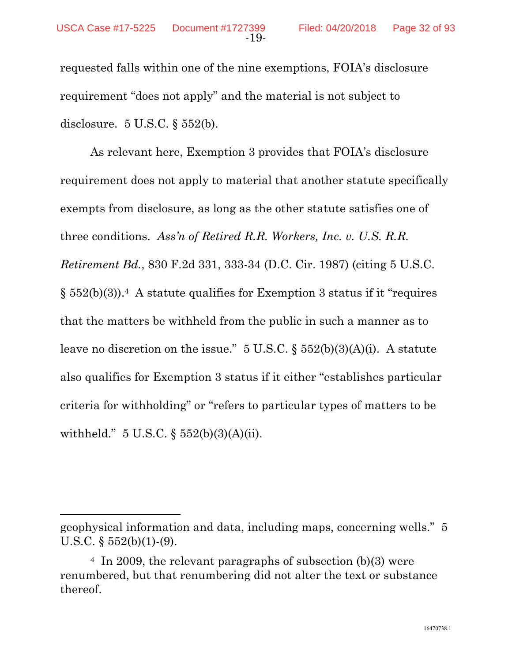$\overline{a}$ 

requested falls within one of the nine exemptions, FOIA's disclosure requirement "does not apply" and the material is not subject to disclosure. 5 U.S.C. § 552(b).

As relevant here, Exemption 3 provides that FOIA's disclosure requirement does not apply to material that another statute specifically exempts from disclosure, as long as the other statute satisfies one of three conditions. *Ass'n of Retired R.R. Workers, Inc. v. U.S. R.R. Retirement Bd.*, 830 F.2d 331, 333-34 (D.C. Cir. 1987) (citing 5 U.S.C.  $\S 552(b)(3)$ .<sup>4</sup> A statute qualifies for Exemption 3 status if it "requires" that the matters be withheld from the public in such a manner as to leave no discretion on the issue."  $5 \text{ U.S.C.}$   $\S 552(b)(3)(A)(i)$ . A statute also qualifies for Exemption 3 status if it either "establishes particular criteria for withholding" or "refers to particular types of matters to be withheld." 5 U.S.C. § 552(b)(3)(A)(ii).

geophysical information and data, including maps, concerning wells." 5 U.S.C.  $\S$  552(b)(1)-(9).

<sup>4</sup> In 2009, the relevant paragraphs of subsection (b)(3) were renumbered, but that renumbering did not alter the text or substance thereof.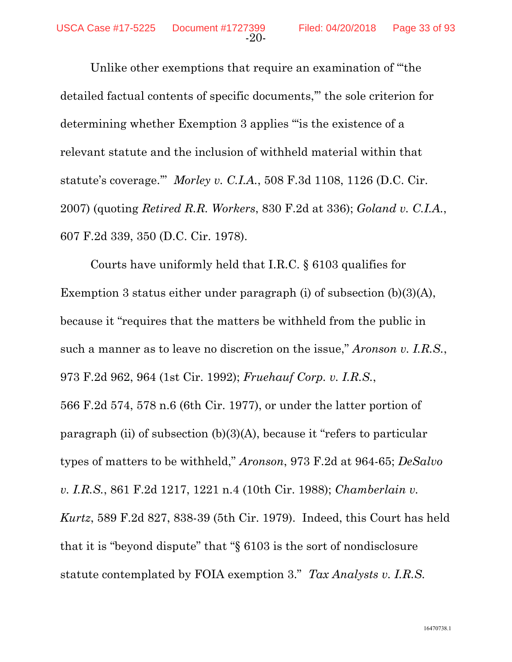Unlike other exemptions that require an examination of "'the detailed factual contents of specific documents,'" the sole criterion for determining whether Exemption 3 applies "'is the existence of a relevant statute and the inclusion of withheld material within that statute's coverage.'" *Morley v. C.I.A.*, 508 F.3d 1108, 1126 (D.C. Cir. 2007) (quoting *Retired R.R. Workers*, 830 F.2d at 336); *Goland v. C.I.A.*, 607 F.2d 339, 350 (D.C. Cir. 1978).

-20-

Courts have uniformly held that I.R.C. § 6103 qualifies for Exemption 3 status either under paragraph (i) of subsection (b)(3)(A), because it "requires that the matters be withheld from the public in such a manner as to leave no discretion on the issue," *Aronson v. I.R.S.*, 973 F.2d 962, 964 (1st Cir. 1992); *Fruehauf Corp. v. I.R.S.*, 566 F.2d 574, 578 n.6 (6th Cir. 1977), or under the latter portion of paragraph (ii) of subsection (b)(3)(A), because it "refers to particular types of matters to be withheld," *Aronson*, 973 F.2d at 964-65; *DeSalvo v. I.R.S.*, 861 F.2d 1217, 1221 n.4 (10th Cir. 1988); *Chamberlain v. Kurtz*, 589 F.2d 827, 838-39 (5th Cir. 1979). Indeed, this Court has held that it is "beyond dispute" that "§ 6103 is the sort of nondisclosure statute contemplated by FOIA exemption 3." *Tax Analysts v. I.R.S.*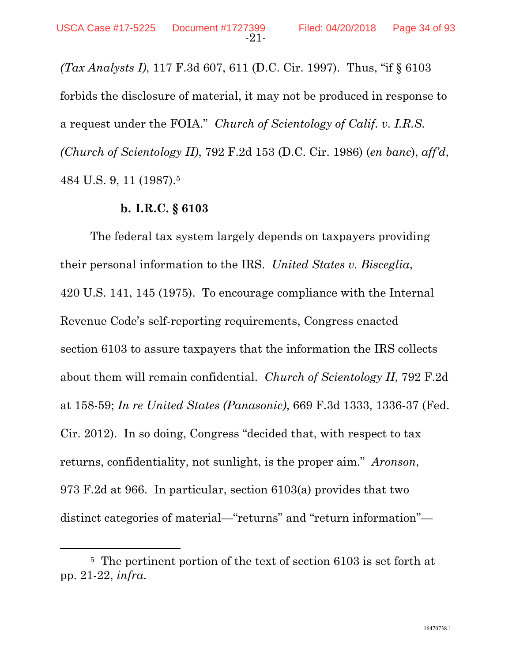*(Tax Analysts I)*, 117 F.3d 607, 611 (D.C. Cir. 1997). Thus, "if § 6103 forbids the disclosure of material, it may not be produced in response to a request under the FOIA." *Church of Scientology of Calif. v. I.R.S. (Church of Scientology II)*, 792 F.2d 153 (D.C. Cir. 1986) (*en banc*), *aff'd*, 484 U.S. 9, 11 (1987).5

#### **b. I.R.C. § 6103**

The federal tax system largely depends on taxpayers providing their personal information to the IRS. *United States v. Bisceglia*, 420 U.S. 141, 145 (1975). To encourage compliance with the Internal Revenue Code's self-reporting requirements, Congress enacted section 6103 to assure taxpayers that the information the IRS collects about them will remain confidential. *Church of Scientology II*, 792 F.2d at 158-59; *In re United States (Panasonic)*, 669 F.3d 1333, 1336-37 (Fed. Cir. 2012). In so doing, Congress "decided that, with respect to tax returns, confidentiality, not sunlight, is the proper aim." *Aronson*, 973 F.2d at 966. In particular, section 6103(a) provides that two distinct categories of material—"returns" and "return information"—

 <sup>5</sup> The pertinent portion of the text of section 6103 is set forth at pp. 21-22, *infra*.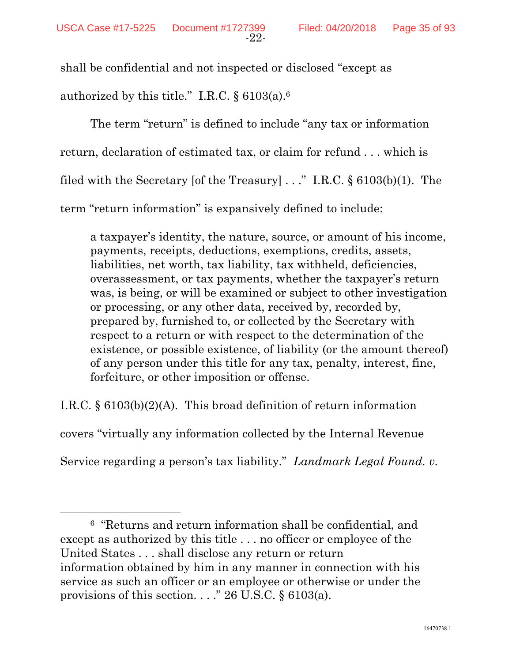shall be confidential and not inspected or disclosed "except as authorized by this title." I.R.C. § 6103(a).6

The term "return" is defined to include "any tax or information return, declaration of estimated tax, or claim for refund . . . which is filed with the Secretary [of the Treasury] . . ." I.R.C. § 6103(b)(1). The term "return information" is expansively defined to include:

a taxpayer's identity, the nature, source, or amount of his income, payments, receipts, deductions, exemptions, credits, assets, liabilities, net worth, tax liability, tax withheld, deficiencies, overassessment, or tax payments, whether the taxpayer's return was, is being, or will be examined or subject to other investigation or processing, or any other data, received by, recorded by, prepared by, furnished to, or collected by the Secretary with respect to a return or with respect to the determination of the existence, or possible existence, of liability (or the amount thereof) of any person under this title for any tax, penalty, interest, fine, forfeiture, or other imposition or offense.

I.R.C. § 6103(b)(2)(A). This broad definition of return information

covers "virtually any information collected by the Internal Revenue

Service regarding a person's tax liability." *Landmark Legal Found. v.* 

 6 "Returns and return information shall be confidential, and except as authorized by this title . . . no officer or employee of the United States . . . shall disclose any return or return information obtained by him in any manner in connection with his service as such an officer or an employee or otherwise or under the provisions of this section. . . . " 26 U.S.C.  $\S$  6103(a).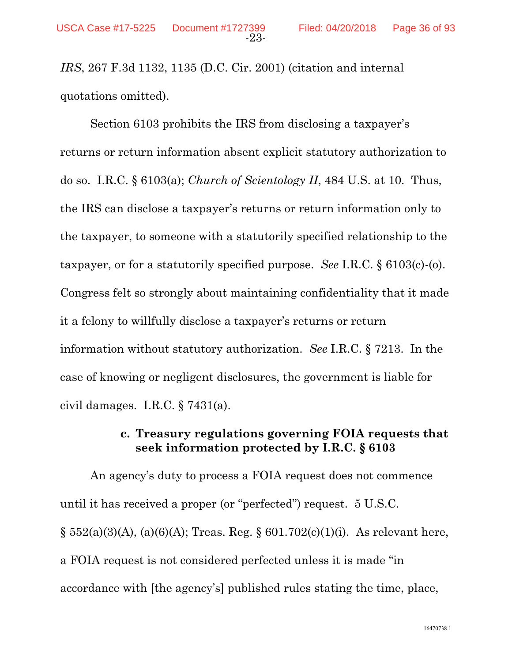*IRS*, 267 F.3d 1132, 1135 (D.C. Cir. 2001) (citation and internal quotations omitted).

Section 6103 prohibits the IRS from disclosing a taxpayer's returns or return information absent explicit statutory authorization to do so. I.R.C. § 6103(a); *Church of Scientology II*, 484 U.S. at 10. Thus, the IRS can disclose a taxpayer's returns or return information only to the taxpayer, to someone with a statutorily specified relationship to the taxpayer, or for a statutorily specified purpose. *See* I.R.C. § 6103(c)-(o). Congress felt so strongly about maintaining confidentiality that it made it a felony to willfully disclose a taxpayer's returns or return information without statutory authorization. *See* I.R.C. § 7213. In the case of knowing or negligent disclosures, the government is liable for civil damages. I.R.C. § 7431(a).

### **c. Treasury regulations governing FOIA requests that seek information protected by I.R.C. § 6103**

An agency's duty to process a FOIA request does not commence until it has received a proper (or "perfected") request. 5 U.S.C.  $\S 552(a)(3)(A)$ , (a)(6)(A); Treas. Reg.  $\S 601.702(c)(1)(i)$ . As relevant here, a FOIA request is not considered perfected unless it is made "in accordance with [the agency's] published rules stating the time, place,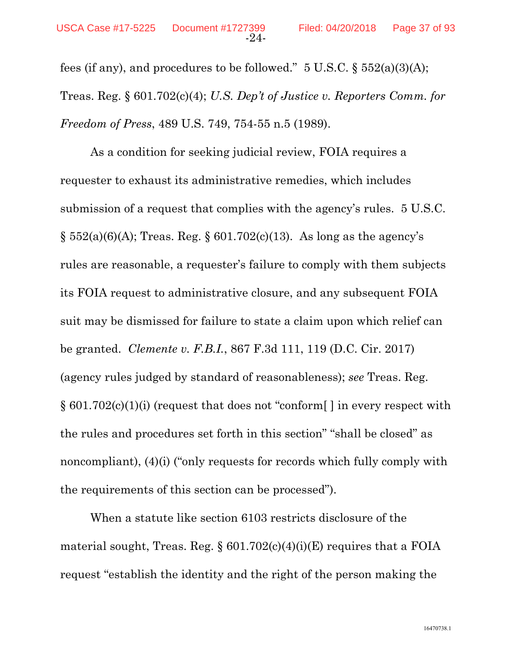fees (if any), and procedures to be followed."  $5 \text{ U.S.C.}$   $\S 552(a)(3)(A);$ Treas. Reg. § 601.702(c)(4); *U.S. Dep't of Justice v. Reporters Comm. for Freedom of Press*, 489 U.S. 749, 754-55 n.5 (1989).

As a condition for seeking judicial review, FOIA requires a requester to exhaust its administrative remedies, which includes submission of a request that complies with the agency's rules. 5 U.S.C.  $\S$  552(a)(6)(A); Treas. Reg.  $\S$  601.702(c)(13). As long as the agency's rules are reasonable, a requester's failure to comply with them subjects its FOIA request to administrative closure, and any subsequent FOIA suit may be dismissed for failure to state a claim upon which relief can be granted. *Clemente v. F.B.I.*, 867 F.3d 111, 119 (D.C. Cir. 2017) (agency rules judged by standard of reasonableness); *see* Treas. Reg. § 601.702(c)(1)(i) (request that does not "conform[ ] in every respect with the rules and procedures set forth in this section" "shall be closed" as noncompliant), (4)(i) ("only requests for records which fully comply with the requirements of this section can be processed").

When a statute like section 6103 restricts disclosure of the material sought, Treas. Reg.  $\S 601.702(c)(4)(i)(E)$  requires that a FOIA request "establish the identity and the right of the person making the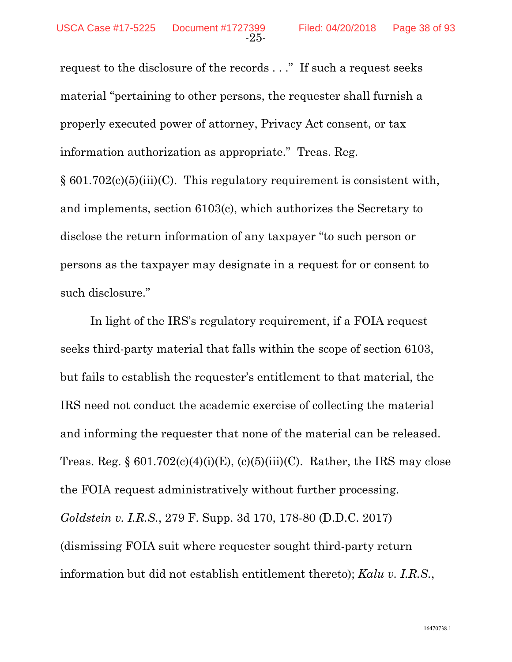request to the disclosure of the records . . ." If such a request seeks material "pertaining to other persons, the requester shall furnish a properly executed power of attorney, Privacy Act consent, or tax information authorization as appropriate." Treas. Reg.  $\S 601.702(c)(5)(iii)(C)$ . This regulatory requirement is consistent with, and implements, section 6103(c), which authorizes the Secretary to disclose the return information of any taxpayer "to such person or persons as the taxpayer may designate in a request for or consent to such disclosure."

In light of the IRS's regulatory requirement, if a FOIA request seeks third-party material that falls within the scope of section 6103, but fails to establish the requester's entitlement to that material, the IRS need not conduct the academic exercise of collecting the material and informing the requester that none of the material can be released. Treas. Reg.  $\S 601.702(c)(4)(i)(E)$ , (c)(5)(iii)(C). Rather, the IRS may close the FOIA request administratively without further processing. *Goldstein v. I.R.S.*, 279 F. Supp. 3d 170, 178-80 (D.D.C. 2017) (dismissing FOIA suit where requester sought third-party return information but did not establish entitlement thereto); *Kalu v. I.R.S.*,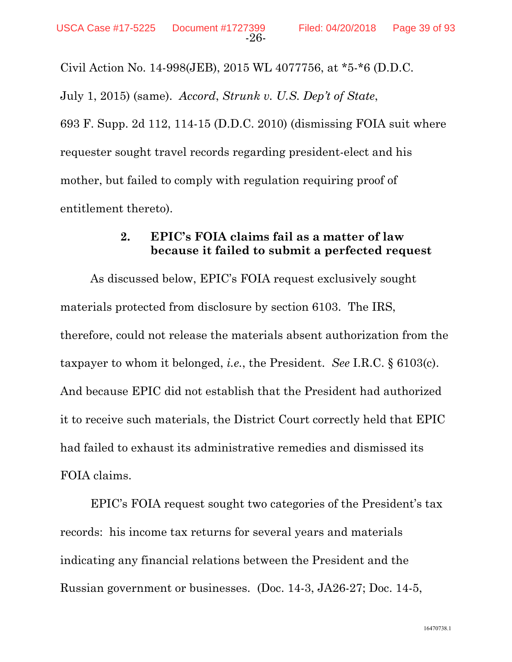Civil Action No. 14-998(JEB), 2015 WL 4077756, at \*5-\*6 (D.D.C.

July 1, 2015) (same). *Accord*, *Strunk v. U.S. Dep't of State*, 693 F. Supp. 2d 112, 114-15 (D.D.C. 2010) (dismissing FOIA suit where requester sought travel records regarding president-elect and his mother, but failed to comply with regulation requiring proof of entitlement thereto).

### **2. EPIC's FOIA claims fail as a matter of law because it failed to submit a perfected request**

As discussed below, EPIC's FOIA request exclusively sought materials protected from disclosure by section 6103. The IRS, therefore, could not release the materials absent authorization from the taxpayer to whom it belonged, *i.e.*, the President. *See* I.R.C. § 6103(c). And because EPIC did not establish that the President had authorized it to receive such materials, the District Court correctly held that EPIC had failed to exhaust its administrative remedies and dismissed its FOIA claims.

 EPIC's FOIA request sought two categories of the President's tax records: his income tax returns for several years and materials indicating any financial relations between the President and the Russian government or businesses. (Doc. 14-3, JA26-27; Doc. 14-5,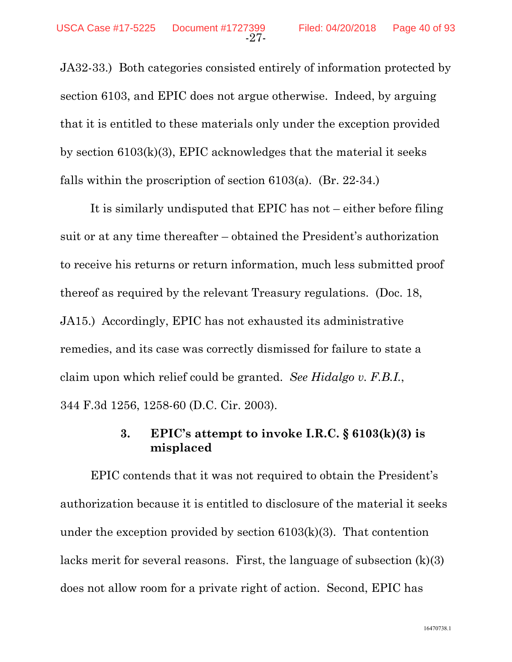JA32-33.) Both categories consisted entirely of information protected by section 6103, and EPIC does not argue otherwise. Indeed, by arguing that it is entitled to these materials only under the exception provided by section 6103(k)(3), EPIC acknowledges that the material it seeks falls within the proscription of section 6103(a). (Br. 22-34.)

It is similarly undisputed that EPIC has not – either before filing suit or at any time thereafter – obtained the President's authorization to receive his returns or return information, much less submitted proof thereof as required by the relevant Treasury regulations. (Doc. 18, JA15.) Accordingly, EPIC has not exhausted its administrative remedies, and its case was correctly dismissed for failure to state a claim upon which relief could be granted. *See Hidalgo v. F.B.I.*, 344 F.3d 1256, 1258-60 (D.C. Cir. 2003).

## **3. EPIC's attempt to invoke I.R.C. § 6103(k)(3) is misplaced**

EPIC contends that it was not required to obtain the President's authorization because it is entitled to disclosure of the material it seeks under the exception provided by section  $6103(k)(3)$ . That contention lacks merit for several reasons. First, the language of subsection (k)(3) does not allow room for a private right of action. Second, EPIC has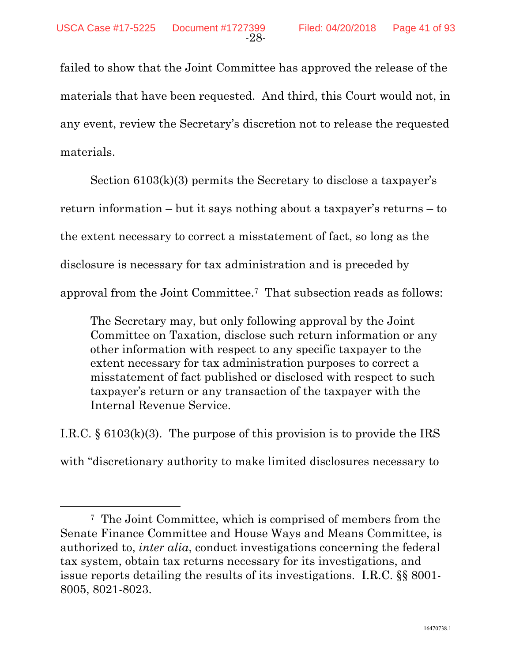failed to show that the Joint Committee has approved the release of the materials that have been requested. And third, this Court would not, in any event, review the Secretary's discretion not to release the requested materials.

Section 6103(k)(3) permits the Secretary to disclose a taxpayer's return information – but it says nothing about a taxpayer's returns – to the extent necessary to correct a misstatement of fact, so long as the disclosure is necessary for tax administration and is preceded by approval from the Joint Committee.7 That subsection reads as follows:

The Secretary may, but only following approval by the Joint Committee on Taxation, disclose such return information or any other information with respect to any specific taxpayer to the extent necessary for tax administration purposes to correct a misstatement of fact published or disclosed with respect to such taxpayer's return or any transaction of the taxpayer with the Internal Revenue Service.

I.R.C.  $\S$  6103(k)(3). The purpose of this provision is to provide the IRS with "discretionary authority to make limited disclosures necessary to

 <sup>7</sup> The Joint Committee, which is comprised of members from the Senate Finance Committee and House Ways and Means Committee, is authorized to, *inter alia*, conduct investigations concerning the federal tax system, obtain tax returns necessary for its investigations, and issue reports detailing the results of its investigations. I.R.C. §§ 8001- 8005, 8021-8023.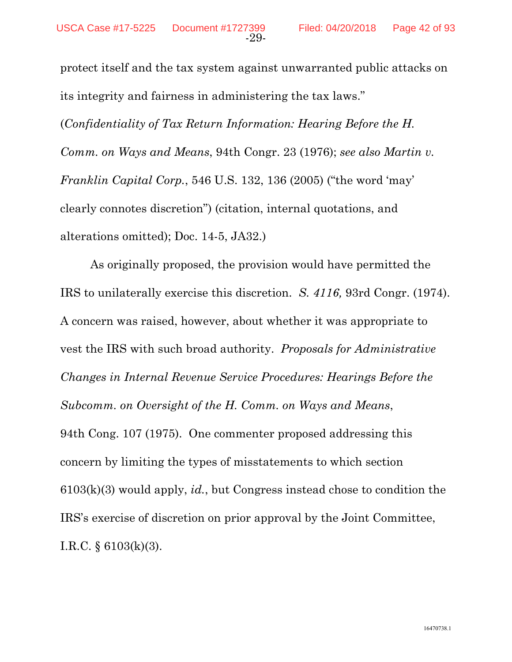protect itself and the tax system against unwarranted public attacks on its integrity and fairness in administering the tax laws."

(*Confidentiality of Tax Return Information: Hearing Before the H. Comm. on Ways and Means*, 94th Congr. 23 (1976); *see also Martin v. Franklin Capital Corp.*, 546 U.S. 132, 136 (2005) ("the word 'may' clearly connotes discretion") (citation, internal quotations, and alterations omitted); Doc. 14-5, JA32.)

As originally proposed, the provision would have permitted the IRS to unilaterally exercise this discretion. *S. 4116,* 93rd Congr. (1974). A concern was raised, however, about whether it was appropriate to vest the IRS with such broad authority. *Proposals for Administrative Changes in Internal Revenue Service Procedures: Hearings Before the Subcomm. on Oversight of the H. Comm. on Ways and Means*, 94th Cong. 107 (1975). One commenter proposed addressing this concern by limiting the types of misstatements to which section 6103(k)(3) would apply, *id.*, but Congress instead chose to condition the IRS's exercise of discretion on prior approval by the Joint Committee, I.R.C. § 6103(k)(3).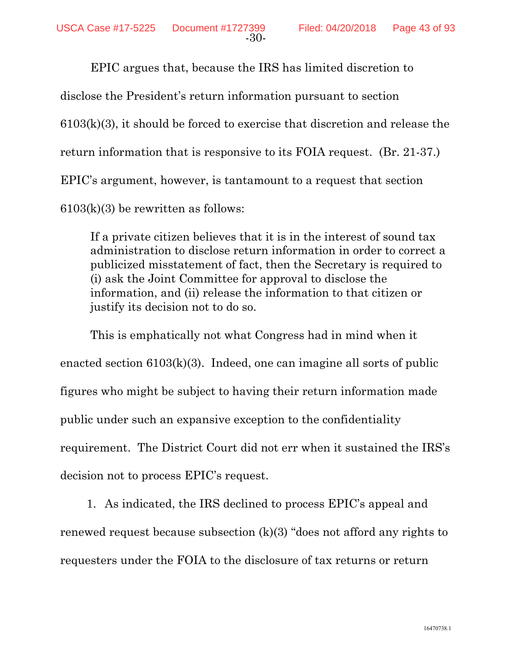EPIC argues that, because the IRS has limited discretion to disclose the President's return information pursuant to section 6103(k)(3), it should be forced to exercise that discretion and release the return information that is responsive to its FOIA request. (Br. 21-37.) EPIC's argument, however, is tantamount to a request that section  $6103(k)(3)$  be rewritten as follows:

If a private citizen believes that it is in the interest of sound tax administration to disclose return information in order to correct a publicized misstatement of fact, then the Secretary is required to (i) ask the Joint Committee for approval to disclose the information, and (ii) release the information to that citizen or justify its decision not to do so.

This is emphatically not what Congress had in mind when it enacted section 6103(k)(3). Indeed, one can imagine all sorts of public figures who might be subject to having their return information made public under such an expansive exception to the confidentiality requirement. The District Court did not err when it sustained the IRS's decision not to process EPIC's request.

1. As indicated, the IRS declined to process EPIC's appeal and renewed request because subsection (k)(3) "does not afford any rights to requesters under the FOIA to the disclosure of tax returns or return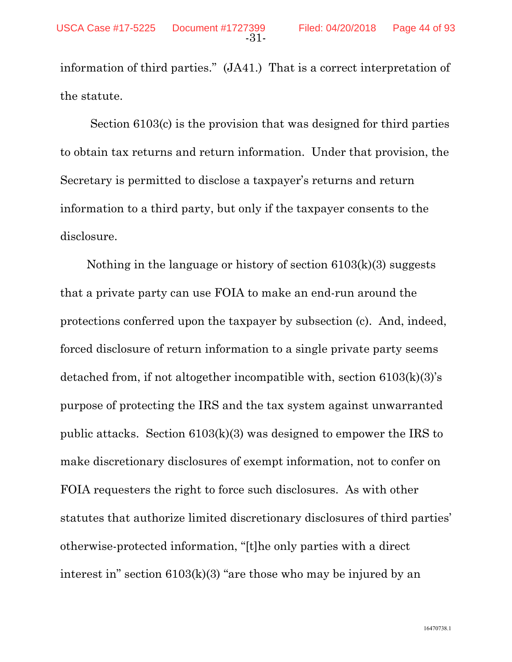information of third parties." (JA41.) That is a correct interpretation of the statute.

Section 6103(c) is the provision that was designed for third parties to obtain tax returns and return information. Under that provision, the Secretary is permitted to disclose a taxpayer's returns and return information to a third party, but only if the taxpayer consents to the disclosure.

Nothing in the language or history of section 6103(k)(3) suggests that a private party can use FOIA to make an end-run around the protections conferred upon the taxpayer by subsection (c). And, indeed, forced disclosure of return information to a single private party seems detached from, if not altogether incompatible with, section 6103(k)(3)'s purpose of protecting the IRS and the tax system against unwarranted public attacks. Section 6103(k)(3) was designed to empower the IRS to make discretionary disclosures of exempt information, not to confer on FOIA requesters the right to force such disclosures. As with other statutes that authorize limited discretionary disclosures of third parties' otherwise-protected information, "[t]he only parties with a direct interest in" section 6103(k)(3) "are those who may be injured by an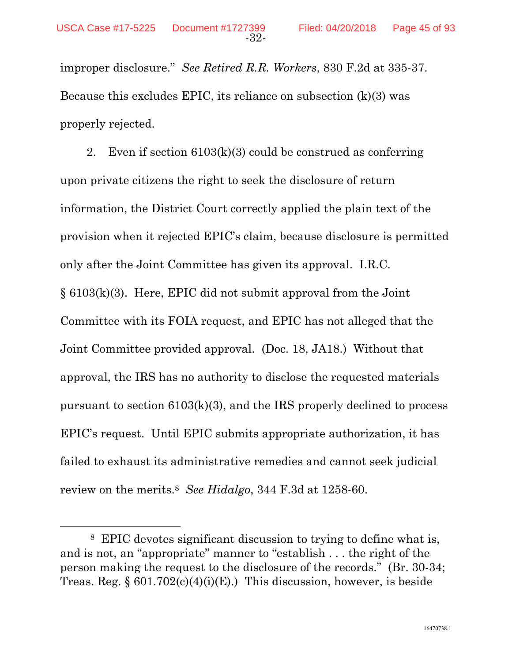improper disclosure." *See Retired R.R. Workers*, 830 F.2d at 335-37. Because this excludes EPIC, its reliance on subsection (k)(3) was properly rejected.

2. Even if section 6103(k)(3) could be construed as conferring upon private citizens the right to seek the disclosure of return information, the District Court correctly applied the plain text of the provision when it rejected EPIC's claim, because disclosure is permitted only after the Joint Committee has given its approval. I.R.C. § 6103(k)(3). Here, EPIC did not submit approval from the Joint Committee with its FOIA request, and EPIC has not alleged that the Joint Committee provided approval. (Doc. 18, JA18.) Without that approval, the IRS has no authority to disclose the requested materials pursuant to section 6103(k)(3), and the IRS properly declined to process EPIC's request. Until EPIC submits appropriate authorization, it has failed to exhaust its administrative remedies and cannot seek judicial review on the merits.8 *See Hidalgo*, 344 F.3d at 1258-60.

 <sup>8</sup> EPIC devotes significant discussion to trying to define what is, and is not, an "appropriate" manner to "establish . . . the right of the person making the request to the disclosure of the records." (Br. 30-34; Treas. Reg.  $\S 601.702(c)(4)(i)(E)$ . This discussion, however, is beside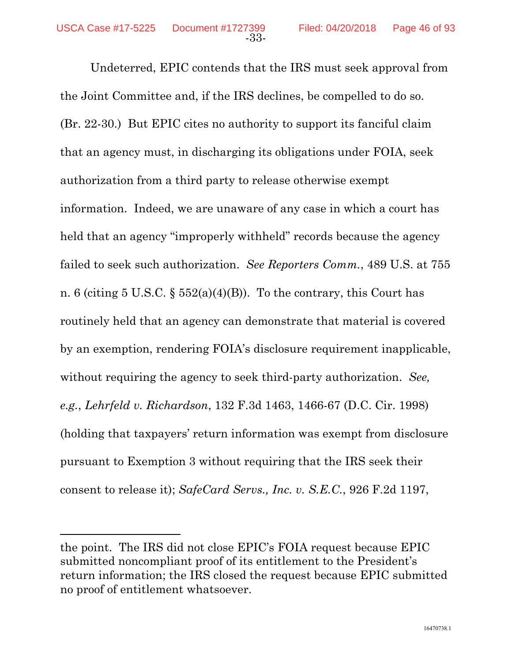l

Undeterred, EPIC contends that the IRS must seek approval from the Joint Committee and, if the IRS declines, be compelled to do so. (Br. 22-30.) But EPIC cites no authority to support its fanciful claim that an agency must, in discharging its obligations under FOIA, seek authorization from a third party to release otherwise exempt information. Indeed, we are unaware of any case in which a court has held that an agency "improperly withheld" records because the agency failed to seek such authorization. *See Reporters Comm.*, 489 U.S. at 755 n. 6 (citing 5 U.S.C.  $\S$  552(a)(4)(B)). To the contrary, this Court has routinely held that an agency can demonstrate that material is covered by an exemption, rendering FOIA's disclosure requirement inapplicable, without requiring the agency to seek third-party authorization. *See, e.g.*, *Lehrfeld v. Richardson*, 132 F.3d 1463, 1466-67 (D.C. Cir. 1998) (holding that taxpayers' return information was exempt from disclosure pursuant to Exemption 3 without requiring that the IRS seek their consent to release it); *SafeCard Servs., Inc. v. S.E.C.*, 926 F.2d 1197,

the point. The IRS did not close EPIC's FOIA request because EPIC submitted noncompliant proof of its entitlement to the President's return information; the IRS closed the request because EPIC submitted no proof of entitlement whatsoever.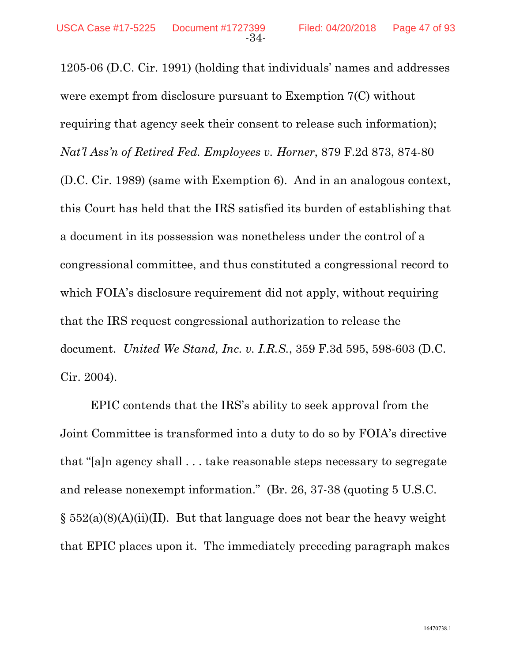1205-06 (D.C. Cir. 1991) (holding that individuals' names and addresses were exempt from disclosure pursuant to Exemption 7(C) without requiring that agency seek their consent to release such information); *Nat'l Ass'n of Retired Fed. Employees v. Horner*, 879 F.2d 873, 874-80 (D.C. Cir. 1989) (same with Exemption 6). And in an analogous context, this Court has held that the IRS satisfied its burden of establishing that a document in its possession was nonetheless under the control of a congressional committee, and thus constituted a congressional record to which FOIA's disclosure requirement did not apply, without requiring that the IRS request congressional authorization to release the document. *United We Stand, Inc. v. I.R.S.*, 359 F.3d 595, 598-603 (D.C. Cir. 2004).

EPIC contends that the IRS's ability to seek approval from the Joint Committee is transformed into a duty to do so by FOIA's directive that "[a]n agency shall . . . take reasonable steps necessary to segregate and release nonexempt information." (Br. 26, 37-38 (quoting 5 U.S.C.  $\S$  552(a)(8)(A)(ii)(II). But that language does not bear the heavy weight that EPIC places upon it. The immediately preceding paragraph makes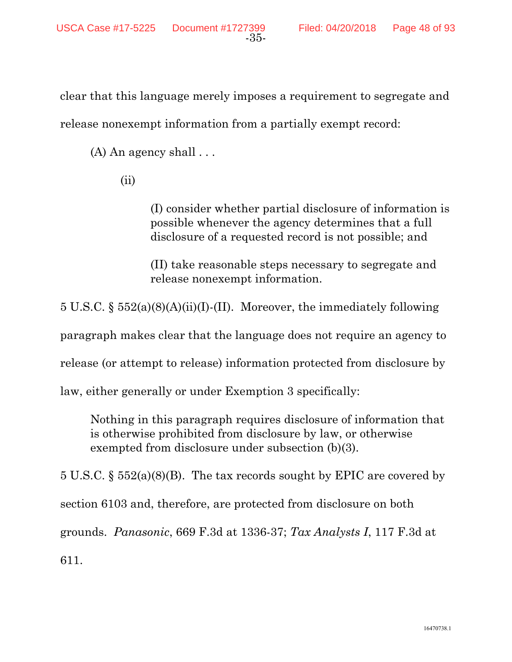clear that this language merely imposes a requirement to segregate and release nonexempt information from a partially exempt record:

 $(A)$  An agency shall  $\ldots$ 

(ii)

(I) consider whether partial disclosure of information is possible whenever the agency determines that a full disclosure of a requested record is not possible; and

(II) take reasonable steps necessary to segregate and release nonexempt information.

5 U.S.C. § 552(a)(8)(A)(ii)(I)-(II). Moreover, the immediately following

paragraph makes clear that the language does not require an agency to

release (or attempt to release) information protected from disclosure by

law, either generally or under Exemption 3 specifically:

Nothing in this paragraph requires disclosure of information that is otherwise prohibited from disclosure by law, or otherwise exempted from disclosure under subsection (b)(3).

5 U.S.C. § 552(a)(8)(B). The tax records sought by EPIC are covered by section 6103 and, therefore, are protected from disclosure on both grounds. *Panasonic*, 669 F.3d at 1336-37; *Tax Analysts I*, 117 F.3d at 611.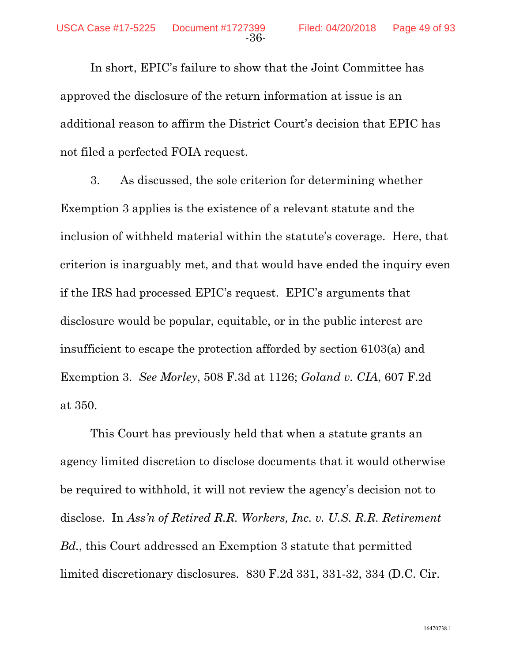In short, EPIC's failure to show that the Joint Committee has approved the disclosure of the return information at issue is an additional reason to affirm the District Court's decision that EPIC has not filed a perfected FOIA request.

-36-

3. As discussed, the sole criterion for determining whether Exemption 3 applies is the existence of a relevant statute and the inclusion of withheld material within the statute's coverage. Here, that criterion is inarguably met, and that would have ended the inquiry even if the IRS had processed EPIC's request. EPIC's arguments that disclosure would be popular, equitable, or in the public interest are insufficient to escape the protection afforded by section 6103(a) and Exemption 3. *See Morley*, 508 F.3d at 1126; *Goland v. CIA*, 607 F.2d at 350.

This Court has previously held that when a statute grants an agency limited discretion to disclose documents that it would otherwise be required to withhold, it will not review the agency's decision not to disclose. In *Ass'n of Retired R.R. Workers, Inc. v. U.S. R.R. Retirement Bd.*, this Court addressed an Exemption 3 statute that permitted limited discretionary disclosures*.* 830 F.2d 331, 331-32, 334 (D.C. Cir.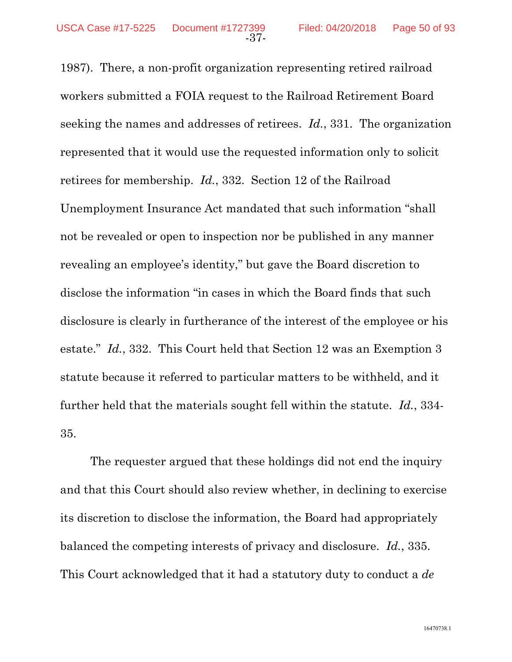1987). There, a non-profit organization representing retired railroad workers submitted a FOIA request to the Railroad Retirement Board seeking the names and addresses of retirees. *Id.*, 331. The organization represented that it would use the requested information only to solicit retirees for membership. *Id.*, 332. Section 12 of the Railroad Unemployment Insurance Act mandated that such information "shall not be revealed or open to inspection nor be published in any manner revealing an employee's identity," but gave the Board discretion to disclose the information "in cases in which the Board finds that such disclosure is clearly in furtherance of the interest of the employee or his estate." *Id.*, 332. This Court held that Section 12 was an Exemption 3 statute because it referred to particular matters to be withheld, and it further held that the materials sought fell within the statute. *Id.*, 334- 35.

The requester argued that these holdings did not end the inquiry and that this Court should also review whether, in declining to exercise its discretion to disclose the information, the Board had appropriately balanced the competing interests of privacy and disclosure. *Id.*, 335. This Court acknowledged that it had a statutory duty to conduct a *de*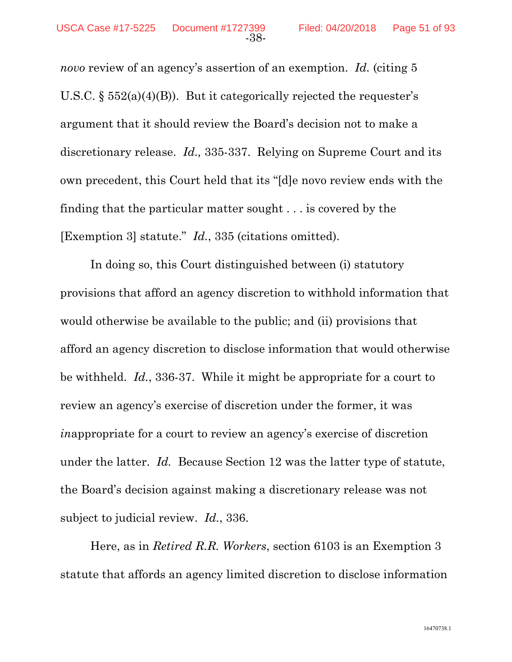*novo* review of an agency's assertion of an exemption. *Id.* (citing 5 U.S.C.  $\S$  552(a)(4)(B)). But it categorically rejected the requester's argument that it should review the Board's decision not to make a discretionary release. *Id.,* 335-337. Relying on Supreme Court and its own precedent, this Court held that its "[d]e novo review ends with the finding that the particular matter sought . . . is covered by the [Exemption 3] statute." *Id.*, 335 (citations omitted).

In doing so, this Court distinguished between (i) statutory provisions that afford an agency discretion to withhold information that would otherwise be available to the public; and (ii) provisions that afford an agency discretion to disclose information that would otherwise be withheld. *Id.*, 336-37. While it might be appropriate for a court to review an agency's exercise of discretion under the former, it was *in*appropriate for a court to review an agency's exercise of discretion under the latter. *Id.* Because Section 12 was the latter type of statute, the Board's decision against making a discretionary release was not subject to judicial review. *Id.*, 336.

Here, as in *Retired R.R. Workers*, section 6103 is an Exemption 3 statute that affords an agency limited discretion to disclose information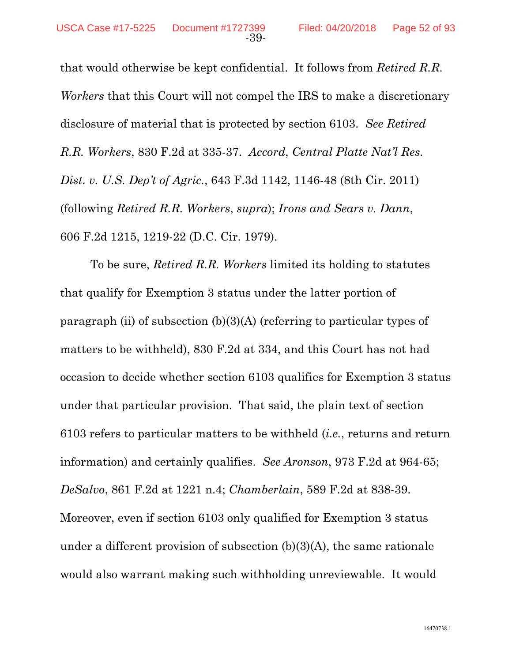that would otherwise be kept confidential. It follows from *Retired R.R. Workers* that this Court will not compel the IRS to make a discretionary disclosure of material that is protected by section 6103. *See Retired R.R. Workers*, 830 F.2d at 335-37. *Accord*, *Central Platte Nat'l Res. Dist. v. U.S. Dep't of Agric.*, 643 F.3d 1142, 1146-48 (8th Cir. 2011) (following *Retired R.R. Workers*, *supra*); *Irons and Sears v. Dann*, 606 F.2d 1215, 1219-22 (D.C. Cir. 1979).

To be sure, *Retired R.R. Workers* limited its holding to statutes that qualify for Exemption 3 status under the latter portion of paragraph (ii) of subsection  $(b)(3)(A)$  (referring to particular types of matters to be withheld), 830 F.2d at 334, and this Court has not had occasion to decide whether section 6103 qualifies for Exemption 3 status under that particular provision. That said, the plain text of section 6103 refers to particular matters to be withheld (*i.e.*, returns and return information) and certainly qualifies. *See Aronson*, 973 F.2d at 964-65; *DeSalvo*, 861 F.2d at 1221 n.4; *Chamberlain*, 589 F.2d at 838-39. Moreover, even if section 6103 only qualified for Exemption 3 status under a different provision of subsection  $(b)(3)(A)$ , the same rationale would also warrant making such withholding unreviewable. It would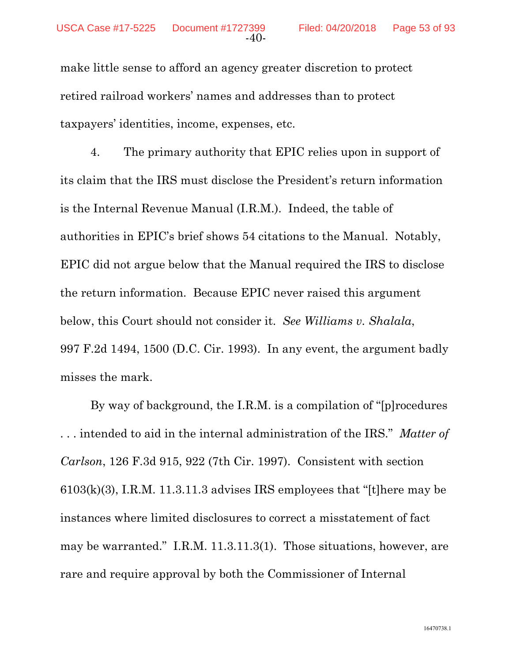make little sense to afford an agency greater discretion to protect retired railroad workers' names and addresses than to protect taxpayers' identities, income, expenses, etc.

4. The primary authority that EPIC relies upon in support of its claim that the IRS must disclose the President's return information is the Internal Revenue Manual (I.R.M.). Indeed, the table of authorities in EPIC's brief shows 54 citations to the Manual. Notably, EPIC did not argue below that the Manual required the IRS to disclose the return information. Because EPIC never raised this argument below, this Court should not consider it. *See Williams v. Shalala*, 997 F.2d 1494, 1500 (D.C. Cir. 1993). In any event, the argument badly misses the mark.

By way of background, the I.R.M. is a compilation of "[p]rocedures . . . intended to aid in the internal administration of the IRS." *Matter of Carlson*, 126 F.3d 915, 922 (7th Cir. 1997). Consistent with section 6103(k)(3), I.R.M. 11.3.11.3 advises IRS employees that "[t]here may be instances where limited disclosures to correct a misstatement of fact may be warranted." I.R.M. 11.3.11.3(1). Those situations, however, are rare and require approval by both the Commissioner of Internal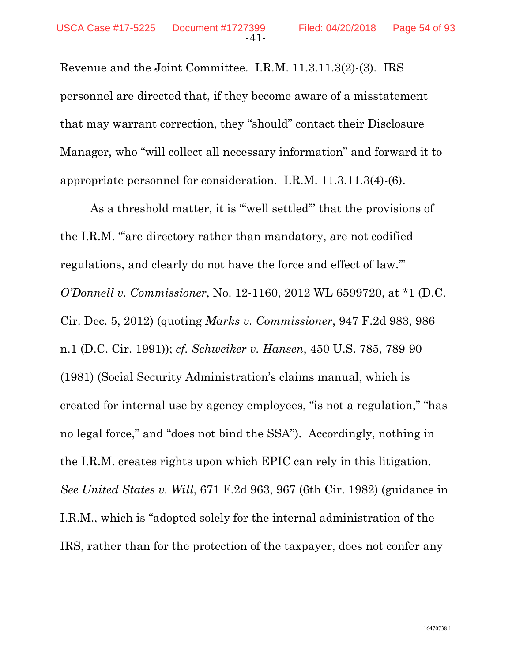Revenue and the Joint Committee. I.R.M. 11.3.11.3(2)-(3). IRS personnel are directed that, if they become aware of a misstatement that may warrant correction, they "should" contact their Disclosure Manager, who "will collect all necessary information" and forward it to appropriate personnel for consideration. I.R.M. 11.3.11.3(4)-(6).

As a threshold matter, it is "'well settled'" that the provisions of the I.R.M. "'are directory rather than mandatory, are not codified regulations, and clearly do not have the force and effect of law.'" *O'Donnell v. Commissioner*, No. 12-1160, 2012 WL 6599720, at \*1 (D.C. Cir. Dec. 5, 2012) (quoting *Marks v. Commissioner*, 947 F.2d 983, 986 n.1 (D.C. Cir. 1991)); *cf. Schweiker v. Hansen*, 450 U.S. 785, 789-90 (1981) (Social Security Administration's claims manual, which is created for internal use by agency employees, "is not a regulation," "has no legal force," and "does not bind the SSA"). Accordingly, nothing in the I.R.M. creates rights upon which EPIC can rely in this litigation. *See United States v. Will*, 671 F.2d 963, 967 (6th Cir. 1982) (guidance in I.R.M., which is "adopted solely for the internal administration of the IRS, rather than for the protection of the taxpayer, does not confer any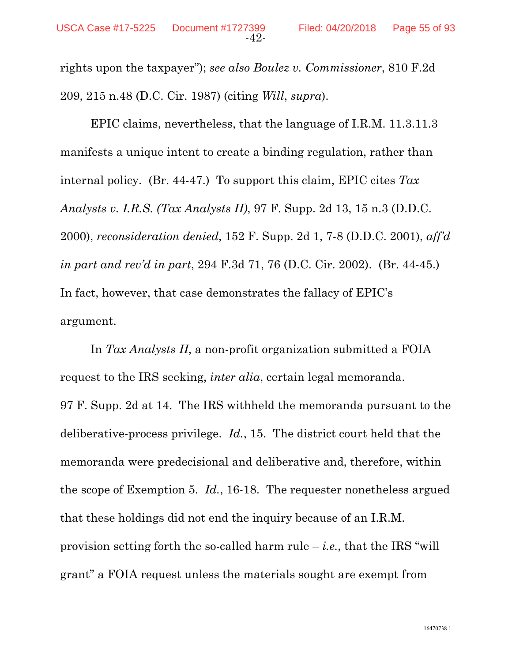rights upon the taxpayer"); *see also Boulez v. Commissioner*, 810 F.2d 209, 215 n.48 (D.C. Cir. 1987) (citing *Will*, *supra*).

EPIC claims, nevertheless, that the language of I.R.M. 11.3.11.3 manifests a unique intent to create a binding regulation, rather than internal policy. (Br. 44-47.) To support this claim, EPIC cites *Tax Analysts v. I.R.S. (Tax Analysts II)*, 97 F. Supp. 2d 13, 15 n.3 (D.D.C. 2000), *reconsideration denied*, 152 F. Supp. 2d 1, 7-8 (D.D.C. 2001), *aff'd in part and rev'd in part*, 294 F.3d 71, 76 (D.C. Cir. 2002). (Br. 44-45.) In fact, however, that case demonstrates the fallacy of EPIC's argument.

In *Tax Analysts II*, a non-profit organization submitted a FOIA request to the IRS seeking, *inter alia*, certain legal memoranda. 97 F. Supp. 2d at 14. The IRS withheld the memoranda pursuant to the deliberative-process privilege. *Id.*, 15. The district court held that the memoranda were predecisional and deliberative and, therefore, within the scope of Exemption 5. *Id.*, 16-18. The requester nonetheless argued that these holdings did not end the inquiry because of an I.R.M. provision setting forth the so-called harm rule  $-i.e.,$  that the IRS "will" grant" a FOIA request unless the materials sought are exempt from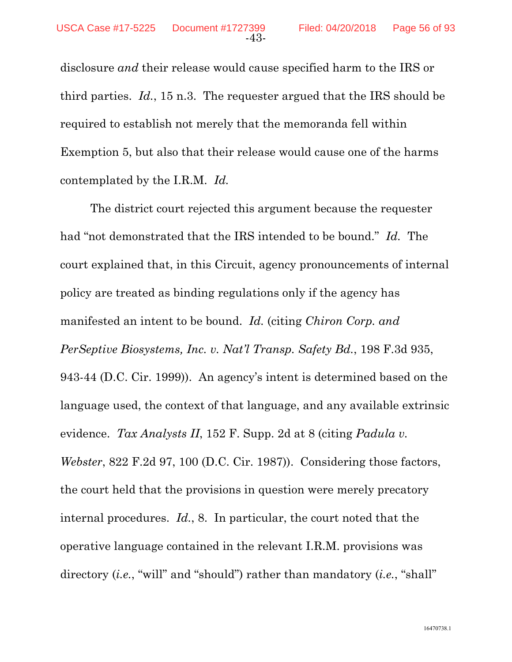disclosure *and* their release would cause specified harm to the IRS or third parties. *Id.*, 15 n.3. The requester argued that the IRS should be required to establish not merely that the memoranda fell within Exemption 5, but also that their release would cause one of the harms contemplated by the I.R.M. *Id.*

The district court rejected this argument because the requester had "not demonstrated that the IRS intended to be bound." *Id.* The court explained that, in this Circuit, agency pronouncements of internal policy are treated as binding regulations only if the agency has manifested an intent to be bound. *Id.* (citing *Chiron Corp. and PerSeptive Biosystems, Inc. v. Nat'l Transp. Safety Bd.*, 198 F.3d 935, 943-44 (D.C. Cir. 1999)). An agency's intent is determined based on the language used, the context of that language, and any available extrinsic evidence. *Tax Analysts II*, 152 F. Supp. 2d at 8 (citing *Padula v. Webster*, 822 F.2d 97, 100 (D.C. Cir. 1987)). Considering those factors, the court held that the provisions in question were merely precatory internal procedures. *Id.*, 8. In particular, the court noted that the operative language contained in the relevant I.R.M. provisions was directory (*i.e.*, "will" and "should") rather than mandatory (*i.e.*, "shall"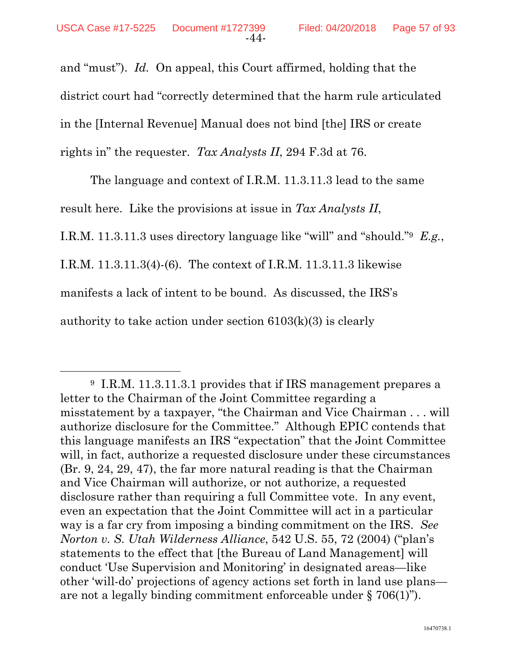and "must"). *Id.* On appeal, this Court affirmed, holding that the district court had "correctly determined that the harm rule articulated in the [Internal Revenue] Manual does not bind [the] IRS or create rights in" the requester. *Tax Analysts II*, 294 F.3d at 76.

The language and context of I.R.M. 11.3.11.3 lead to the same result here. Like the provisions at issue in *Tax Analysts II*, I.R.M. 11.3.11.3 uses directory language like "will" and "should."9 *E.g.*, I.R.M. 11.3.11.3(4)-(6). The context of I.R.M. 11.3.11.3 likewise manifests a lack of intent to be bound. As discussed, the IRS's authority to take action under section  $6103(k)(3)$  is clearly

 <sup>9</sup> I.R.M. 11.3.11.3.1 provides that if IRS management prepares a letter to the Chairman of the Joint Committee regarding a misstatement by a taxpayer, "the Chairman and Vice Chairman . . . will authorize disclosure for the Committee." Although EPIC contends that this language manifests an IRS "expectation" that the Joint Committee will, in fact, authorize a requested disclosure under these circumstances (Br. 9, 24, 29, 47), the far more natural reading is that the Chairman and Vice Chairman will authorize, or not authorize, a requested disclosure rather than requiring a full Committee vote. In any event, even an expectation that the Joint Committee will act in a particular way is a far cry from imposing a binding commitment on the IRS. *See Norton v. S. Utah Wilderness Alliance*, 542 U.S. 55, 72 (2004) ("plan's statements to the effect that [the Bureau of Land Management] will conduct 'Use Supervision and Monitoring' in designated areas—like other 'will-do' projections of agency actions set forth in land use plans are not a legally binding commitment enforceable under § 706(1)").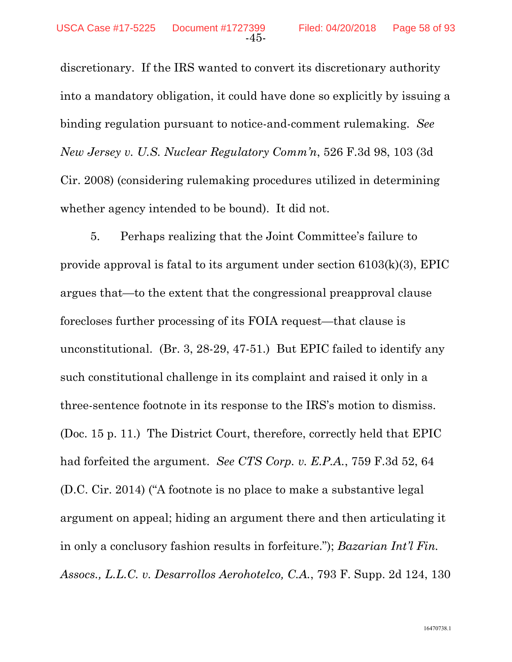discretionary. If the IRS wanted to convert its discretionary authority into a mandatory obligation, it could have done so explicitly by issuing a binding regulation pursuant to notice-and-comment rulemaking. *See New Jersey v. U.S. Nuclear Regulatory Comm'n*, 526 F.3d 98, 103 (3d Cir. 2008) (considering rulemaking procedures utilized in determining whether agency intended to be bound). It did not.

5. Perhaps realizing that the Joint Committee's failure to provide approval is fatal to its argument under section 6103(k)(3), EPIC argues that—to the extent that the congressional preapproval clause forecloses further processing of its FOIA request—that clause is unconstitutional. (Br. 3, 28-29, 47-51.) But EPIC failed to identify any such constitutional challenge in its complaint and raised it only in a three-sentence footnote in its response to the IRS's motion to dismiss. (Doc. 15 p. 11.) The District Court, therefore, correctly held that EPIC had forfeited the argument. *See CTS Corp. v. E.P.A.*, 759 F.3d 52, 64 (D.C. Cir. 2014) ("A footnote is no place to make a substantive legal argument on appeal; hiding an argument there and then articulating it in only a conclusory fashion results in forfeiture."); *Bazarian Int'l Fin. Assocs., L.L.C. v. Desarrollos Aerohotelco, C.A.*, 793 F. Supp. 2d 124, 130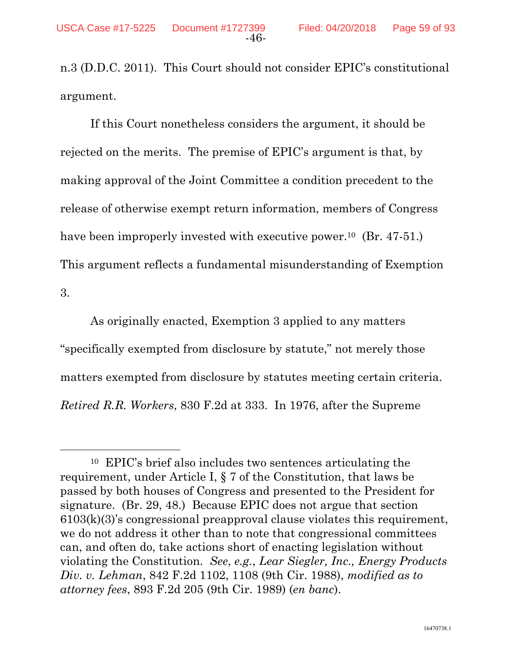n.3 (D.D.C. 2011). This Court should not consider EPIC's constitutional argument.

If this Court nonetheless considers the argument, it should be rejected on the merits. The premise of EPIC's argument is that, by making approval of the Joint Committee a condition precedent to the release of otherwise exempt return information, members of Congress have been improperly invested with executive power.<sup>10</sup> (Br. 47-51.) This argument reflects a fundamental misunderstanding of Exemption 3.

As originally enacted, Exemption 3 applied to any matters "specifically exempted from disclosure by statute," not merely those matters exempted from disclosure by statutes meeting certain criteria. *Retired R.R. Workers*, 830 F.2d at 333. In 1976, after the Supreme

 <sup>10</sup> EPIC's brief also includes two sentences articulating the requirement, under Article I, § 7 of the Constitution, that laws be passed by both houses of Congress and presented to the President for signature. (Br. 29, 48.) Because EPIC does not argue that section 6103(k)(3)'s congressional preapproval clause violates this requirement, we do not address it other than to note that congressional committees can, and often do, take actions short of enacting legislation without violating the Constitution. *See*, *e.g.*, *Lear Siegler, Inc., Energy Products Div. v. Lehman*, 842 F.2d 1102, 1108 (9th Cir. 1988), *modified as to attorney fees*, 893 F.2d 205 (9th Cir. 1989) (*en banc*).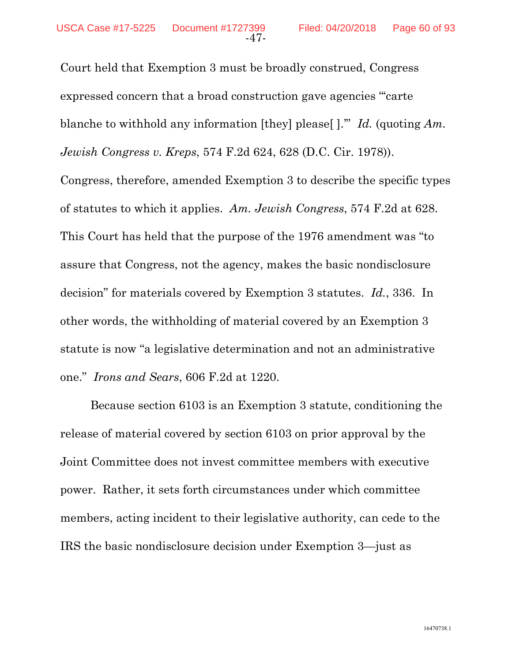Court held that Exemption 3 must be broadly construed, Congress expressed concern that a broad construction gave agencies "'carte blanche to withhold any information [they] please[ ].'" *Id.* (quoting *Am. Jewish Congress v. Kreps*, 574 F.2d 624, 628 (D.C. Cir. 1978)). Congress, therefore, amended Exemption 3 to describe the specific types of statutes to which it applies. *Am. Jewish Congress*, 574 F.2d at 628. This Court has held that the purpose of the 1976 amendment was "to assure that Congress, not the agency, makes the basic nondisclosure decision" for materials covered by Exemption 3 statutes. *Id.*, 336. In other words, the withholding of material covered by an Exemption 3 statute is now "a legislative determination and not an administrative one." *Irons and Sears*, 606 F.2d at 1220.

Because section 6103 is an Exemption 3 statute, conditioning the release of material covered by section 6103 on prior approval by the Joint Committee does not invest committee members with executive power. Rather, it sets forth circumstances under which committee members, acting incident to their legislative authority, can cede to the IRS the basic nondisclosure decision under Exemption 3—just as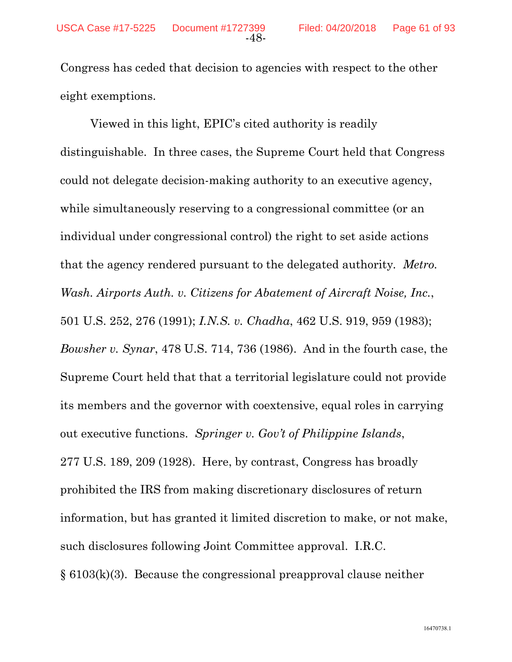Congress has ceded that decision to agencies with respect to the other eight exemptions.

Viewed in this light, EPIC's cited authority is readily distinguishable. In three cases, the Supreme Court held that Congress could not delegate decision-making authority to an executive agency, while simultaneously reserving to a congressional committee (or an individual under congressional control) the right to set aside actions that the agency rendered pursuant to the delegated authority*. Metro. Wash. Airports Auth. v. Citizens for Abatement of Aircraft Noise, Inc.*, 501 U.S. 252, 276 (1991); *I.N.S. v. Chadha*, 462 U.S. 919, 959 (1983); *Bowsher v. Synar*, 478 U.S. 714, 736 (1986). And in the fourth case, the Supreme Court held that that a territorial legislature could not provide its members and the governor with coextensive, equal roles in carrying out executive functions. *Springer v. Gov't of Philippine Islands*, 277 U.S. 189, 209 (1928). Here, by contrast, Congress has broadly prohibited the IRS from making discretionary disclosures of return information, but has granted it limited discretion to make, or not make, such disclosures following Joint Committee approval. I.R.C. § 6103(k)(3). Because the congressional preapproval clause neither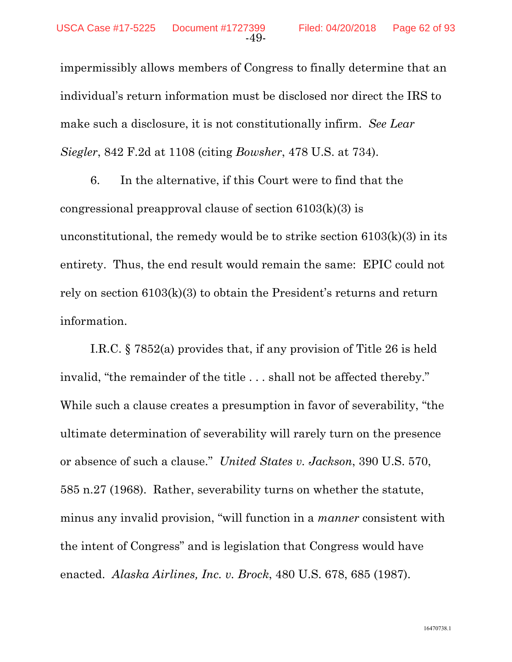impermissibly allows members of Congress to finally determine that an individual's return information must be disclosed nor direct the IRS to make such a disclosure, it is not constitutionally infirm. *See Lear Siegler*, 842 F.2d at 1108 (citing *Bowsher*, 478 U.S. at 734).

6. In the alternative, if this Court were to find that the congressional preapproval clause of section  $6103(k)(3)$  is unconstitutional, the remedy would be to strike section  $6103(k)(3)$  in its entirety. Thus, the end result would remain the same: EPIC could not rely on section 6103(k)(3) to obtain the President's returns and return information.

I.R.C. § 7852(a) provides that, if any provision of Title 26 is held invalid, "the remainder of the title . . . shall not be affected thereby." While such a clause creates a presumption in favor of severability, "the ultimate determination of severability will rarely turn on the presence or absence of such a clause." *United States v. Jackson*, 390 U.S. 570, 585 n.27 (1968). Rather, severability turns on whether the statute, minus any invalid provision, "will function in a *manner* consistent with the intent of Congress" and is legislation that Congress would have enacted. *Alaska Airlines, Inc. v. Brock*, 480 U.S. 678, 685 (1987).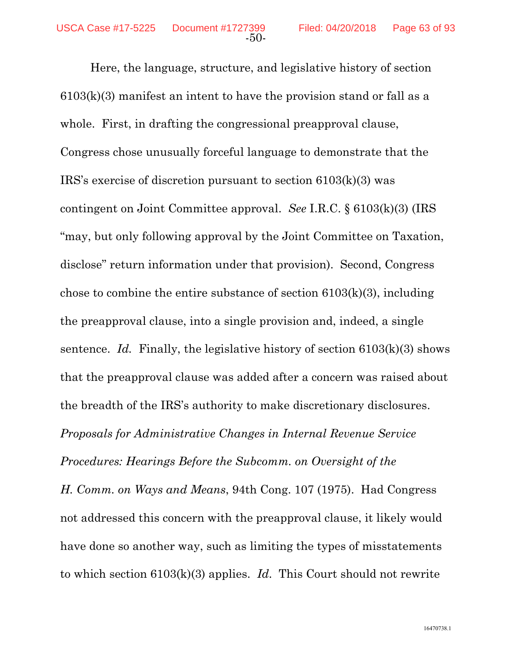Here, the language, structure, and legislative history of section 6103(k)(3) manifest an intent to have the provision stand or fall as a whole. First, in drafting the congressional preapproval clause, Congress chose unusually forceful language to demonstrate that the IRS's exercise of discretion pursuant to section 6103(k)(3) was contingent on Joint Committee approval. *See* I.R.C. § 6103(k)(3) (IRS "may, but only following approval by the Joint Committee on Taxation, disclose" return information under that provision). Second, Congress chose to combine the entire substance of section  $6103(k)(3)$ , including the preapproval clause, into a single provision and, indeed, a single sentence. *Id.* Finally, the legislative history of section  $6103(k)(3)$  shows that the preapproval clause was added after a concern was raised about the breadth of the IRS's authority to make discretionary disclosures. *Proposals for Administrative Changes in Internal Revenue Service Procedures: Hearings Before the Subcomm. on Oversight of the* 

*H. Comm. on Ways and Means*, 94th Cong. 107 (1975). Had Congress not addressed this concern with the preapproval clause, it likely would have done so another way, such as limiting the types of misstatements to which section 6103(k)(3) applies. *Id*. This Court should not rewrite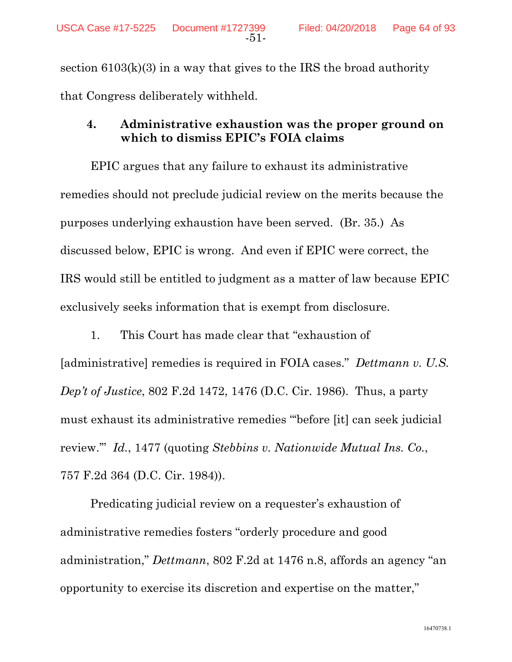section  $6103(k)(3)$  in a way that gives to the IRS the broad authority that Congress deliberately withheld.

## **4. Administrative exhaustion was the proper ground on which to dismiss EPIC's FOIA claims**

EPIC argues that any failure to exhaust its administrative remedies should not preclude judicial review on the merits because the purposes underlying exhaustion have been served. (Br. 35.) As discussed below, EPIC is wrong. And even if EPIC were correct, the IRS would still be entitled to judgment as a matter of law because EPIC exclusively seeks information that is exempt from disclosure.

1. This Court has made clear that "exhaustion of [administrative] remedies is required in FOIA cases." *Dettmann v. U.S. Dep't of Justice*, 802 F.2d 1472, 1476 (D.C. Cir. 1986). Thus, a party must exhaust its administrative remedies "'before [it] can seek judicial review.'" *Id.*, 1477 (quoting *Stebbins v. Nationwide Mutual Ins. Co.*, 757 F.2d 364 (D.C. Cir. 1984)).

Predicating judicial review on a requester's exhaustion of administrative remedies fosters "orderly procedure and good administration," *Dettmann*, 802 F.2d at 1476 n.8, affords an agency "an opportunity to exercise its discretion and expertise on the matter,"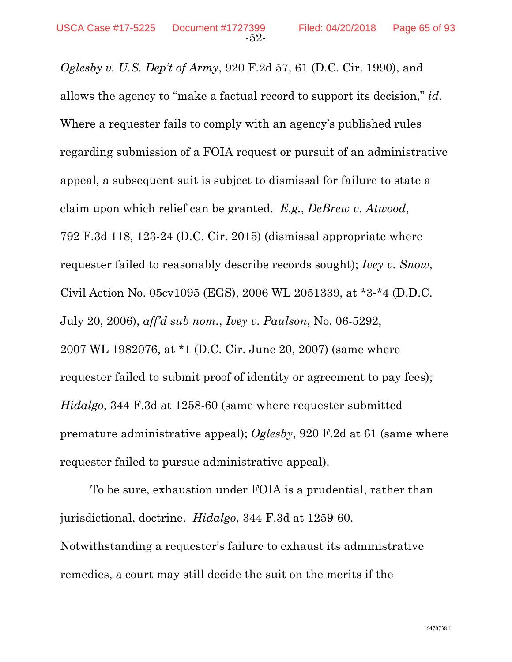*Oglesby v. U.S. Dep't of Army*, 920 F.2d 57, 61 (D.C. Cir. 1990), and allows the agency to "make a factual record to support its decision," *id.* Where a requester fails to comply with an agency's published rules regarding submission of a FOIA request or pursuit of an administrative appeal, a subsequent suit is subject to dismissal for failure to state a claim upon which relief can be granted. *E.g.*, *DeBrew v. Atwood*, 792 F.3d 118, 123-24 (D.C. Cir. 2015) (dismissal appropriate where requester failed to reasonably describe records sought); *Ivey v. Snow*, Civil Action No. 05cv1095 (EGS), 2006 WL 2051339, at \*3-\*4 (D.D.C. July 20, 2006), *aff'd sub nom.*, *Ivey v. Paulson*, No. 06-5292, 2007 WL 1982076, at \*1 (D.C. Cir. June 20, 2007) (same where requester failed to submit proof of identity or agreement to pay fees); *Hidalgo*, 344 F.3d at 1258-60 (same where requester submitted premature administrative appeal); *Oglesby*, 920 F.2d at 61 (same where requester failed to pursue administrative appeal).

To be sure, exhaustion under FOIA is a prudential, rather than jurisdictional, doctrine. *Hidalgo*, 344 F.3d at 1259-60. Notwithstanding a requester's failure to exhaust its administrative remedies, a court may still decide the suit on the merits if the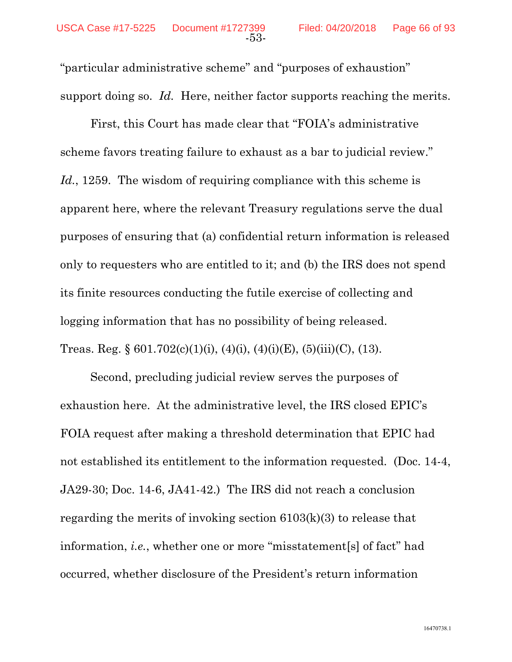"particular administrative scheme" and "purposes of exhaustion" support doing so. *Id.* Here, neither factor supports reaching the merits.

First, this Court has made clear that "FOIA's administrative scheme favors treating failure to exhaust as a bar to judicial review." *Id.*, 1259. The wisdom of requiring compliance with this scheme is apparent here, where the relevant Treasury regulations serve the dual purposes of ensuring that (a) confidential return information is released only to requesters who are entitled to it; and (b) the IRS does not spend its finite resources conducting the futile exercise of collecting and logging information that has no possibility of being released. Treas. Reg. §  $601.702(c)(1)(i)$ ,  $(4)(i)$ ,  $(4)(i)(E)$ ,  $(5)(iii)(C)$ ,  $(13)$ .

Second, precluding judicial review serves the purposes of exhaustion here. At the administrative level, the IRS closed EPIC's FOIA request after making a threshold determination that EPIC had not established its entitlement to the information requested. (Doc. 14-4, JA29-30; Doc. 14-6, JA41-42.) The IRS did not reach a conclusion regarding the merits of invoking section 6103(k)(3) to release that information, *i.e.*, whether one or more "misstatement[s] of fact" had occurred, whether disclosure of the President's return information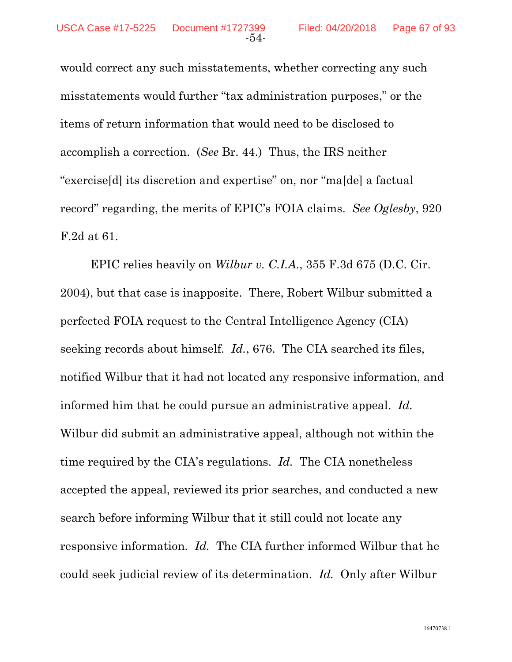would correct any such misstatements, whether correcting any such misstatements would further "tax administration purposes," or the items of return information that would need to be disclosed to accomplish a correction. (*See* Br. 44.) Thus, the IRS neither "exercise[d] its discretion and expertise" on, nor "ma[de] a factual record" regarding, the merits of EPIC's FOIA claims. *See Oglesby*, 920 F.2d at 61.

EPIC relies heavily on *Wilbur v. C.I.A.*, 355 F.3d 675 (D.C. Cir. 2004), but that case is inapposite. There, Robert Wilbur submitted a perfected FOIA request to the Central Intelligence Agency (CIA) seeking records about himself. *Id.*, 676. The CIA searched its files, notified Wilbur that it had not located any responsive information, and informed him that he could pursue an administrative appeal. *Id.* Wilbur did submit an administrative appeal, although not within the time required by the CIA's regulations. *Id.* The CIA nonetheless accepted the appeal, reviewed its prior searches, and conducted a new search before informing Wilbur that it still could not locate any responsive information. *Id.* The CIA further informed Wilbur that he could seek judicial review of its determination. *Id.* Only after Wilbur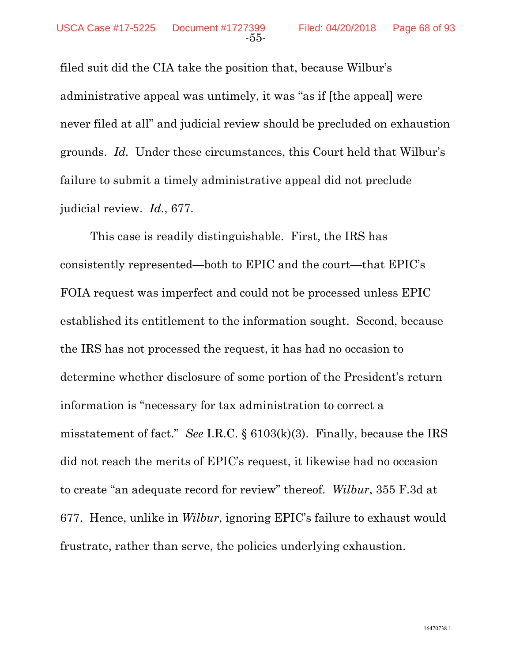filed suit did the CIA take the position that, because Wilbur's administrative appeal was untimely, it was "as if [the appeal] were never filed at all" and judicial review should be precluded on exhaustion grounds. *Id.* Under these circumstances, this Court held that Wilbur's failure to submit a timely administrative appeal did not preclude judicial review. *Id.*, 677.

This case is readily distinguishable. First, the IRS has consistently represented—both to EPIC and the court—that EPIC's FOIA request was imperfect and could not be processed unless EPIC established its entitlement to the information sought. Second, because the IRS has not processed the request, it has had no occasion to determine whether disclosure of some portion of the President's return information is "necessary for tax administration to correct a misstatement of fact." *See* I.R.C. § 6103(k)(3). Finally, because the IRS did not reach the merits of EPIC's request, it likewise had no occasion to create "an adequate record for review" thereof. *Wilbur*, 355 F.3d at 677. Hence, unlike in *Wilbur*, ignoring EPIC's failure to exhaust would frustrate, rather than serve, the policies underlying exhaustion.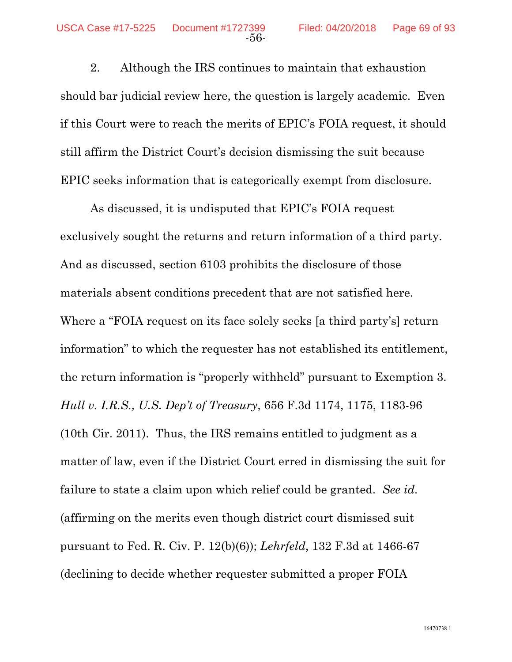2. Although the IRS continues to maintain that exhaustion should bar judicial review here, the question is largely academic. Even if this Court were to reach the merits of EPIC's FOIA request, it should still affirm the District Court's decision dismissing the suit because EPIC seeks information that is categorically exempt from disclosure.

As discussed, it is undisputed that EPIC's FOIA request exclusively sought the returns and return information of a third party. And as discussed, section 6103 prohibits the disclosure of those materials absent conditions precedent that are not satisfied here. Where a "FOIA request on its face solely seeks [a third party's] return information" to which the requester has not established its entitlement, the return information is "properly withheld" pursuant to Exemption 3. *Hull v. I.R.S., U.S. Dep't of Treasury*, 656 F.3d 1174, 1175, 1183-96 (10th Cir. 2011). Thus, the IRS remains entitled to judgment as a matter of law, even if the District Court erred in dismissing the suit for failure to state a claim upon which relief could be granted. *See id.*  (affirming on the merits even though district court dismissed suit pursuant to Fed. R. Civ. P. 12(b)(6)); *Lehrfeld*, 132 F.3d at 1466-67 (declining to decide whether requester submitted a proper FOIA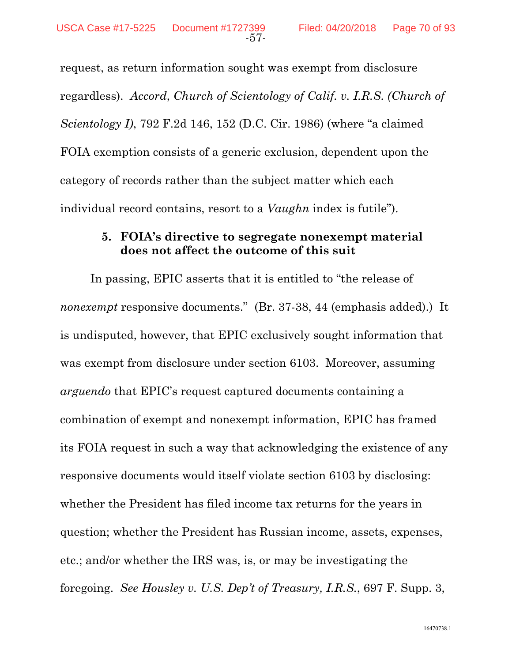request, as return information sought was exempt from disclosure regardless). *Accord*, *Church of Scientology of Calif. v. I.R.S. (Church of Scientology I)*, 792 F.2d 146, 152 (D.C. Cir. 1986) (where "a claimed FOIA exemption consists of a generic exclusion, dependent upon the category of records rather than the subject matter which each individual record contains, resort to a *Vaughn* index is futile").

#### **5. FOIA's directive to segregate nonexempt material does not affect the outcome of this suit**

In passing, EPIC asserts that it is entitled to "the release of *nonexempt* responsive documents." (Br. 37-38, 44 (emphasis added).) It is undisputed, however, that EPIC exclusively sought information that was exempt from disclosure under section 6103. Moreover, assuming *arguendo* that EPIC's request captured documents containing a combination of exempt and nonexempt information, EPIC has framed its FOIA request in such a way that acknowledging the existence of any responsive documents would itself violate section 6103 by disclosing: whether the President has filed income tax returns for the years in question; whether the President has Russian income, assets, expenses, etc.; and/or whether the IRS was, is, or may be investigating the foregoing. *See Housley v. U.S. Dep't of Treasury, I.R.S.*, 697 F. Supp. 3,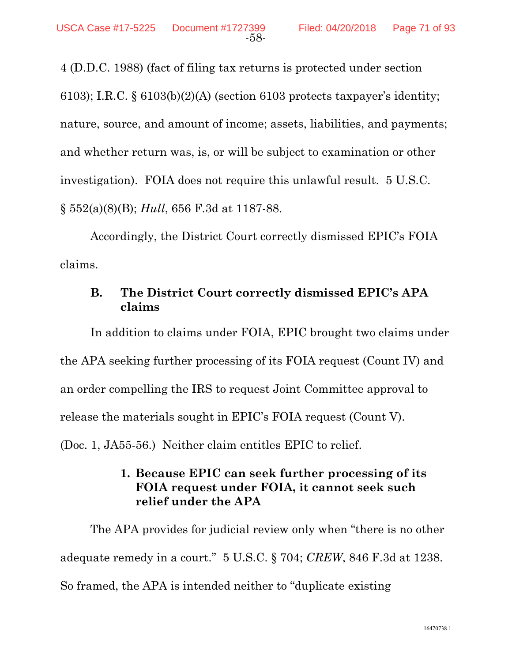4 (D.D.C. 1988) (fact of filing tax returns is protected under section 6103); I.R.C.  $\S 6103(b)(2)(A)$  (section 6103 protects taxpayer's identity; nature, source, and amount of income; assets, liabilities, and payments; and whether return was, is, or will be subject to examination or other investigation). FOIA does not require this unlawful result. 5 U.S.C. § 552(a)(8)(B); *Hull*, 656 F.3d at 1187-88.

Accordingly, the District Court correctly dismissed EPIC's FOIA claims.

## **B. The District Court correctly dismissed EPIC's APA claims**

In addition to claims under FOIA, EPIC brought two claims under the APA seeking further processing of its FOIA request (Count IV) and an order compelling the IRS to request Joint Committee approval to release the materials sought in EPIC's FOIA request (Count V). (Doc. 1, JA55-56.) Neither claim entitles EPIC to relief.

# **1. Because EPIC can seek further processing of its FOIA request under FOIA, it cannot seek such relief under the APA**

The APA provides for judicial review only when "there is no other adequate remedy in a court." 5 U.S.C. § 704; *CREW*, 846 F.3d at 1238. So framed, the APA is intended neither to "duplicate existing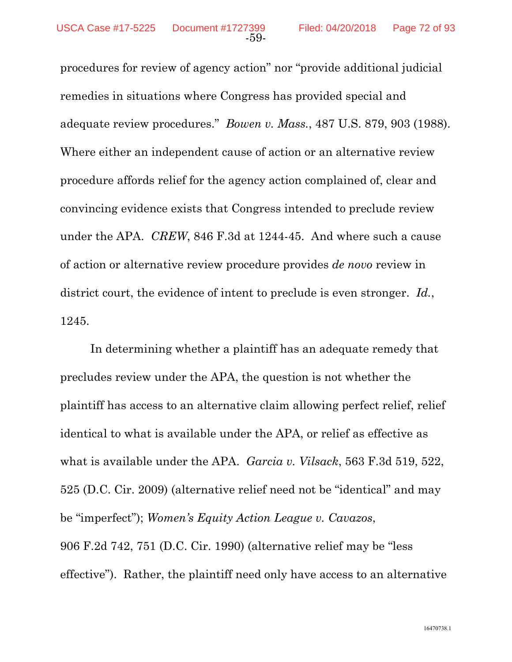procedures for review of agency action" nor "provide additional judicial remedies in situations where Congress has provided special and adequate review procedures." *Bowen v. Mass.*, 487 U.S. 879, 903 (1988). Where either an independent cause of action or an alternative review procedure affords relief for the agency action complained of, clear and convincing evidence exists that Congress intended to preclude review under the APA. *CREW*, 846 F.3d at 1244-45. And where such a cause of action or alternative review procedure provides *de novo* review in district court, the evidence of intent to preclude is even stronger. *Id.*, 1245.

In determining whether a plaintiff has an adequate remedy that precludes review under the APA, the question is not whether the plaintiff has access to an alternative claim allowing perfect relief, relief identical to what is available under the APA, or relief as effective as what is available under the APA. *Garcia v. Vilsack*, 563 F.3d 519, 522, 525 (D.C. Cir. 2009) (alternative relief need not be "identical" and may be "imperfect"); *Women's Equity Action League v. Cavazos*, 906 F.2d 742, 751 (D.C. Cir. 1990) (alternative relief may be "less effective"). Rather, the plaintiff need only have access to an alternative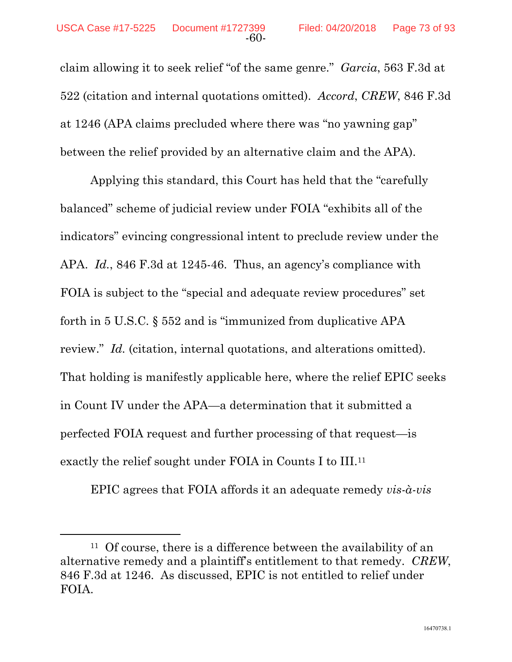claim allowing it to seek relief "of the same genre." *Garcia*, 563 F.3d at 522 (citation and internal quotations omitted). *Accord*, *CREW*, 846 F.3d at 1246 (APA claims precluded where there was "no yawning gap" between the relief provided by an alternative claim and the APA).

Applying this standard, this Court has held that the "carefully balanced" scheme of judicial review under FOIA "exhibits all of the indicators" evincing congressional intent to preclude review under the APA. *Id.*, 846 F.3d at 1245-46. Thus, an agency's compliance with FOIA is subject to the "special and adequate review procedures" set forth in 5 U.S.C. § 552 and is "immunized from duplicative APA review." *Id.* (citation, internal quotations, and alterations omitted). That holding is manifestly applicable here, where the relief EPIC seeks in Count IV under the APA—a determination that it submitted a perfected FOIA request and further processing of that request—is exactly the relief sought under FOIA in Counts I to III.11

EPIC agrees that FOIA affords it an adequate remedy *vis-à-vis*

<sup>&</sup>lt;sup>11</sup> Of course, there is a difference between the availability of an alternative remedy and a plaintiff's entitlement to that remedy. *CREW*, 846 F.3d at 1246. As discussed, EPIC is not entitled to relief under FOIA.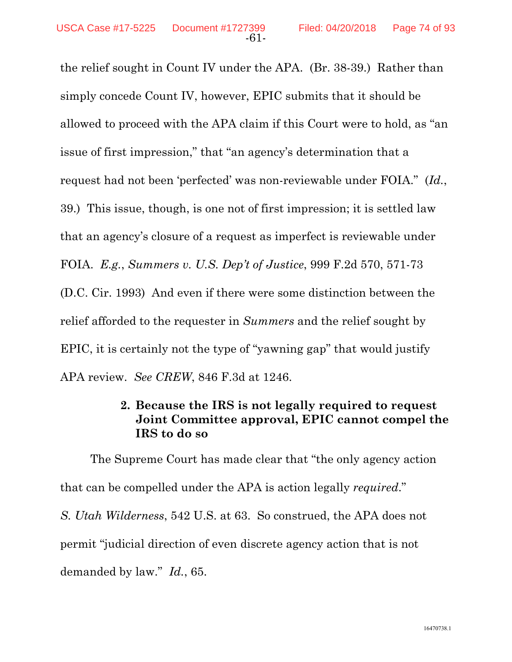the relief sought in Count IV under the APA. (Br. 38-39.) Rather than simply concede Count IV, however, EPIC submits that it should be allowed to proceed with the APA claim if this Court were to hold, as "an issue of first impression," that "an agency's determination that a request had not been 'perfected' was non-reviewable under FOIA." (*Id.*, 39.) This issue, though, is one not of first impression; it is settled law that an agency's closure of a request as imperfect is reviewable under FOIA. *E.g.*, *Summers v. U.S. Dep't of Justice*, 999 F.2d 570, 571-73 (D.C. Cir. 1993) And even if there were some distinction between the relief afforded to the requester in *Summers* and the relief sought by EPIC, it is certainly not the type of "yawning gap" that would justify APA review. *See CREW*, 846 F.3d at 1246.

#### **2. Because the IRS is not legally required to request Joint Committee approval, EPIC cannot compel the IRS to do so**

 The Supreme Court has made clear that "the only agency action that can be compelled under the APA is action legally *required*." *S. Utah Wilderness*, 542 U.S. at 63. So construed, the APA does not permit "judicial direction of even discrete agency action that is not demanded by law." *Id.*, 65.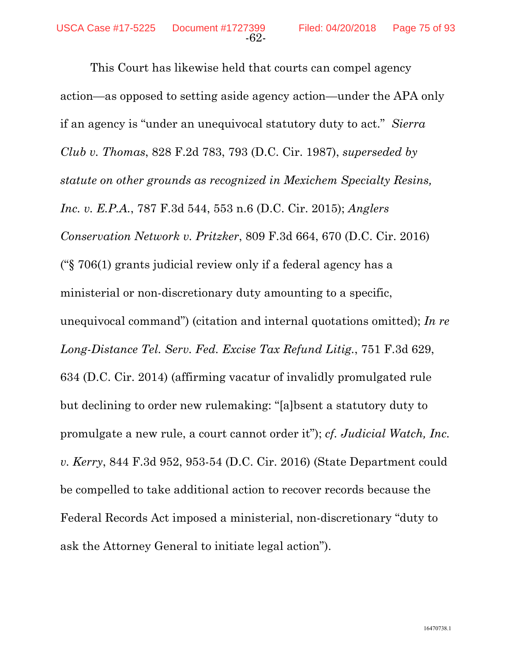This Court has likewise held that courts can compel agency action—as opposed to setting aside agency action—under the APA only if an agency is "under an unequivocal statutory duty to act." *Sierra Club v. Thomas*, 828 F.2d 783, 793 (D.C. Cir. 1987), *superseded by statute on other grounds as recognized in Mexichem Specialty Resins, Inc. v. E.P.A.*, 787 F.3d 544, 553 n.6 (D.C. Cir. 2015); *Anglers Conservation Network v. Pritzker*, 809 F.3d 664, 670 (D.C. Cir. 2016) ("§ 706(1) grants judicial review only if a federal agency has a ministerial or non-discretionary duty amounting to a specific, unequivocal command") (citation and internal quotations omitted); *In re Long-Distance Tel. Serv. Fed. Excise Tax Refund Litig.*, 751 F.3d 629, 634 (D.C. Cir. 2014) (affirming vacatur of invalidly promulgated rule but declining to order new rulemaking: "[a]bsent a statutory duty to promulgate a new rule, a court cannot order it"); *cf. Judicial Watch, Inc. v. Kerry*, 844 F.3d 952, 953-54 (D.C. Cir. 2016) (State Department could be compelled to take additional action to recover records because the Federal Records Act imposed a ministerial, non-discretionary "duty to ask the Attorney General to initiate legal action").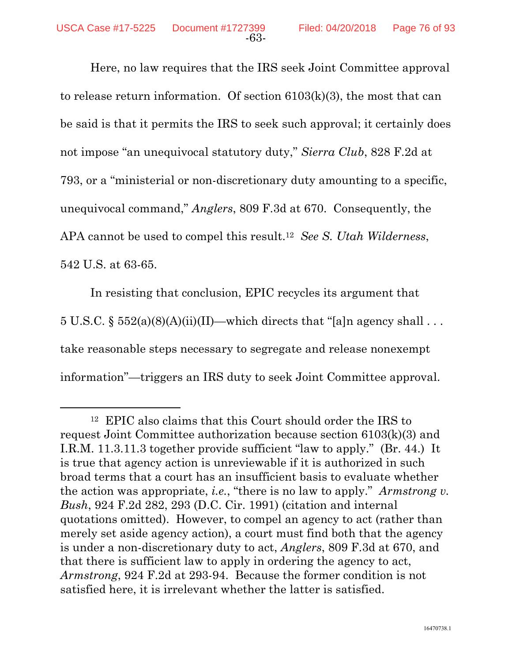Here, no law requires that the IRS seek Joint Committee approval to release return information. Of section 6103(k)(3), the most that can be said is that it permits the IRS to seek such approval; it certainly does not impose "an unequivocal statutory duty," *Sierra Club*, 828 F.2d at 793, or a "ministerial or non-discretionary duty amounting to a specific, unequivocal command," *Anglers*, 809 F.3d at 670. Consequently, the APA cannot be used to compel this result.12 *See S. Utah Wilderness*, 542 U.S. at 63-65.

In resisting that conclusion, EPIC recycles its argument that 5 U.S.C. §  $552(a)(8)(A)(ii)(II)$ —which directs that "[a]n agency shall ... take reasonable steps necessary to segregate and release nonexempt information"—triggers an IRS duty to seek Joint Committee approval.

 <sup>12</sup> EPIC also claims that this Court should order the IRS to request Joint Committee authorization because section 6103(k)(3) and I.R.M. 11.3.11.3 together provide sufficient "law to apply." (Br. 44.) It is true that agency action is unreviewable if it is authorized in such broad terms that a court has an insufficient basis to evaluate whether the action was appropriate, *i.e.*, "there is no law to apply." *Armstrong v. Bush*, 924 F.2d 282, 293 (D.C. Cir. 1991) (citation and internal quotations omitted). However, to compel an agency to act (rather than merely set aside agency action), a court must find both that the agency is under a non-discretionary duty to act, *Anglers*, 809 F.3d at 670, and that there is sufficient law to apply in ordering the agency to act, *Armstrong*, 924 F.2d at 293-94. Because the former condition is not satisfied here, it is irrelevant whether the latter is satisfied.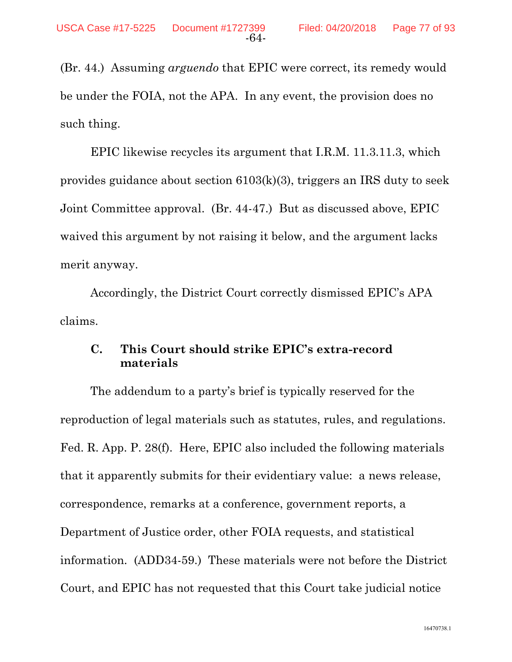(Br. 44.) Assuming *arguendo* that EPIC were correct, its remedy would be under the FOIA, not the APA. In any event, the provision does no such thing.

EPIC likewise recycles its argument that I.R.M. 11.3.11.3, which provides guidance about section 6103(k)(3), triggers an IRS duty to seek Joint Committee approval. (Br. 44-47.) But as discussed above, EPIC waived this argument by not raising it below, and the argument lacks merit anyway.

Accordingly, the District Court correctly dismissed EPIC's APA claims.

## **C. This Court should strike EPIC's extra-record materials**

The addendum to a party's brief is typically reserved for the reproduction of legal materials such as statutes, rules, and regulations. Fed. R. App. P. 28(f). Here, EPIC also included the following materials that it apparently submits for their evidentiary value: a news release, correspondence, remarks at a conference, government reports, a Department of Justice order, other FOIA requests, and statistical information. (ADD34-59.) These materials were not before the District Court, and EPIC has not requested that this Court take judicial notice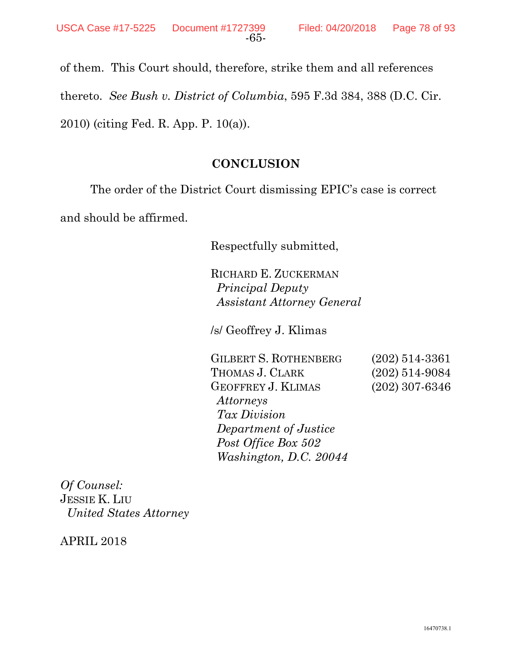of them. This Court should, therefore, strike them and all references thereto. *See Bush v. District of Columbia*, 595 F.3d 384, 388 (D.C. Cir. 2010) (citing Fed. R. App. P. 10(a)).

## **CONCLUSION**

The order of the District Court dismissing EPIC's case is correct

and should be affirmed.

Respectfully submitted,

RICHARD E. ZUCKERMAN *Principal Deputy Assistant Attorney General* 

/s/ Geoffrey J. Klimas

GILBERT S. ROTHENBERG (202) 514-3361 THOMAS J. CLARK (202) 514-9084 GEOFFREY J. KLIMAS (202) 307-6346 *Attorneys Tax Division Department of Justice Post Office Box 502 Washington, D.C. 20044* 

*Of Counsel:*  JESSIE K. LIU  *United States Attorney* 

APRIL 2018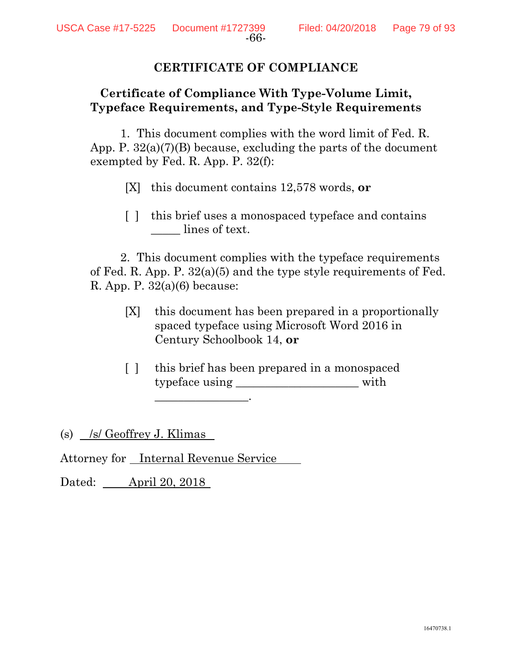### **CERTIFICATE OF COMPLIANCE**

## **Certificate of Compliance With Type-Volume Limit, Typeface Requirements, and Type-Style Requirements**

1. This document complies with the word limit of Fed. R. App. P. 32(a)(7)(B) because, excluding the parts of the document exempted by Fed. R. App. P. 32(f):

[X] this document contains 12,578 words, **or**

[ ] this brief uses a monospaced typeface and contains lines of text.

2. This document complies with the typeface requirements of Fed. R. App. P. 32(a)(5) and the type style requirements of Fed. R. App. P.  $32(a)(6)$  because:

- [X] this document has been prepared in a proportionally spaced typeface using Microsoft Word 2016 in Century Schoolbook 14, **or**
- [ ] this brief has been prepared in a monospaced typeface using \_\_\_\_\_\_\_\_\_\_\_\_\_\_\_\_\_\_\_\_\_ with \_\_\_\_\_\_\_\_\_\_\_\_\_\_\_\_.

(s)  $/s$  Geoffrey J. Klimas

Attorney for Internal Revenue Service

Dated: April 20, 2018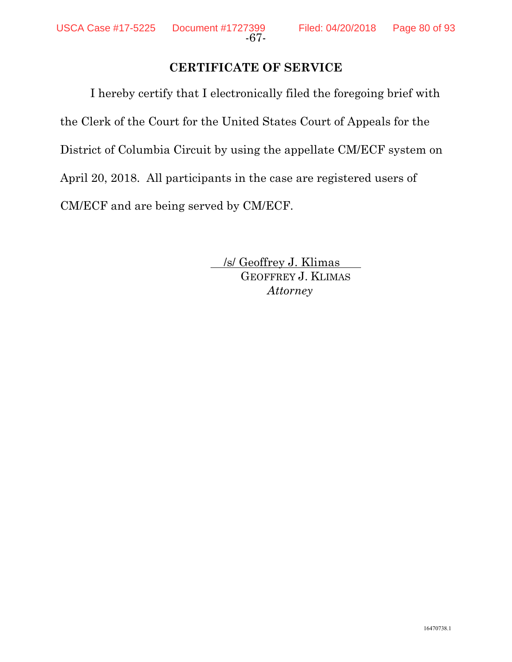## **CERTIFICATE OF SERVICE**

I hereby certify that I electronically filed the foregoing brief with the Clerk of the Court for the United States Court of Appeals for the District of Columbia Circuit by using the appellate CM/ECF system on April 20, 2018. All participants in the case are registered users of CM/ECF and are being served by CM/ECF.

> /s/ Geoffrey J. Klimas GEOFFREY J. KLIMAS *Attorney*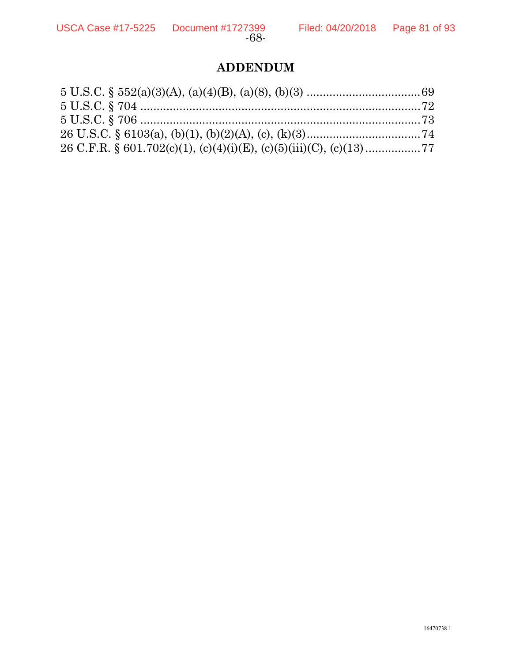# **ADDENDUM**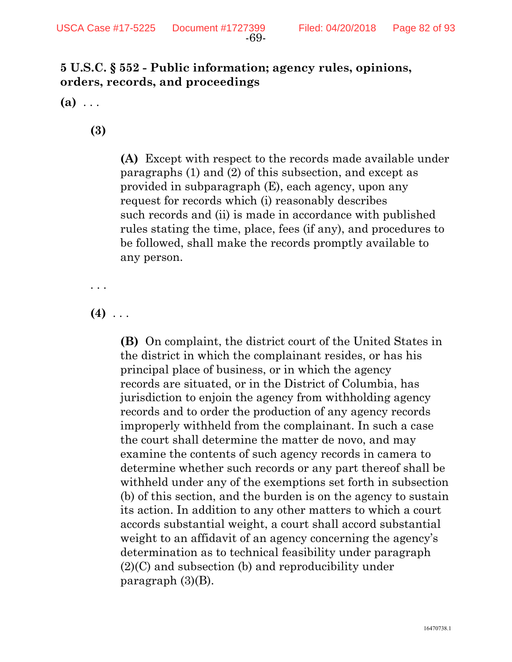## **5 U.S.C. § 552 - Public information; agency rules, opinions, orders, records, and proceedings**

**(a)** . . .

**(3)** 

**(A)** Except with respect to the records made available under paragraphs (1) and (2) of this subsection, and except as provided in subparagraph (E), each agency, upon any request for records which (i) reasonably describes such records and (ii) is made in accordance with published rules stating the time, place, fees (if any), and procedures to be followed, shall make the records promptly available to any person.

. . .

**(4)** . . .

**(B)** On complaint, the district court of the United States in the district in which the complainant resides, or has his principal place of business, or in which the agency records are situated, or in the District of Columbia, has jurisdiction to enjoin the agency from withholding agency records and to order the production of any agency records improperly withheld from the complainant. In such a case the court shall determine the matter de novo, and may examine the contents of such agency records in camera to determine whether such records or any part thereof shall be withheld under any of the exemptions set forth in subsection (b) of this section, and the burden is on the agency to sustain its action. In addition to any other matters to which a court accords substantial weight, a court shall accord substantial weight to an affidavit of an agency concerning the agency's determination as to technical feasibility under paragraph (2)(C) and subsection (b) and reproducibility under paragraph (3)(B).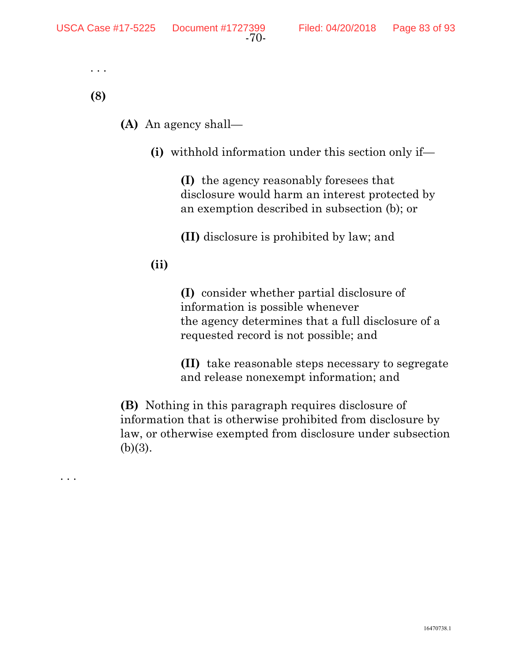```
 . . .
```
**(8)** 

. . .

- **(A)** An agency shall—
	- **(i)** withhold information under this section only if—

**(I)** the agency reasonably foresees that disclosure would harm an interest protected by an exemption described in subsection (b); or

**(II)** disclosure is prohibited by law; and

## **(ii)**

**(I)** consider whether partial disclosure of information is possible whenever the agency determines that a full disclosure of a requested record is not possible; and

**(II)** take reasonable steps necessary to segregate and release nonexempt information; and

**(B)** Nothing in this paragraph requires disclosure of information that is otherwise prohibited from disclosure by law, or otherwise exempted from disclosure under subsection  $(b)(3)$ .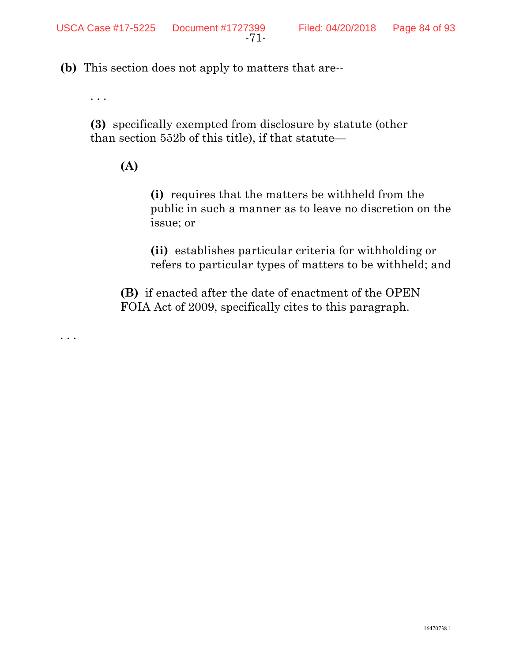**(b)** This section does not apply to matters that are--

. . .

. . .

**(3)** specifically exempted from disclosure by statute (other than section 552b of this title), if that statute—

## **(A)**

**(i)** requires that the matters be withheld from the public in such a manner as to leave no discretion on the issue; or

**(ii)** establishes particular criteria for withholding or refers to particular types of matters to be withheld; and

**(B)** if enacted after the date of enactment of the OPEN FOIA Act of 2009, specifically cites to this paragraph.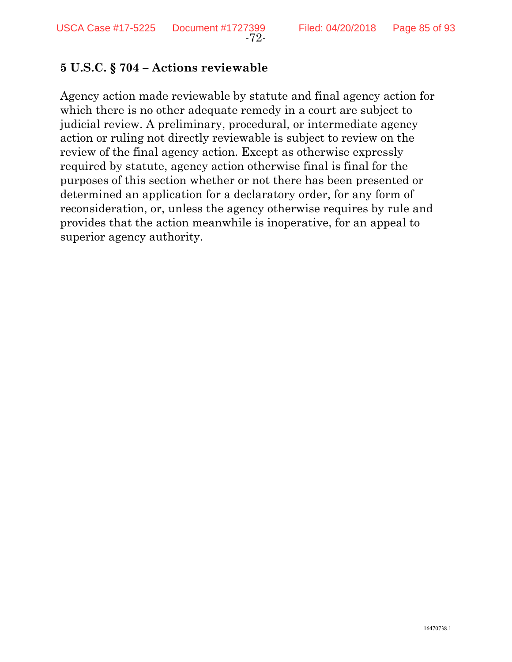#### **5 U.S.C. § 704 – Actions reviewable**

Agency action made reviewable by statute and final agency action for which there is no other adequate remedy in a court are subject to judicial review. A preliminary, procedural, or intermediate agency action or ruling not directly reviewable is subject to review on the review of the final agency action. Except as otherwise expressly required by statute, agency action otherwise final is final for the purposes of this section whether or not there has been presented or determined an application for a declaratory order, for any form of reconsideration, or, unless the agency otherwise requires by rule and provides that the action meanwhile is inoperative, for an appeal to superior agency authority.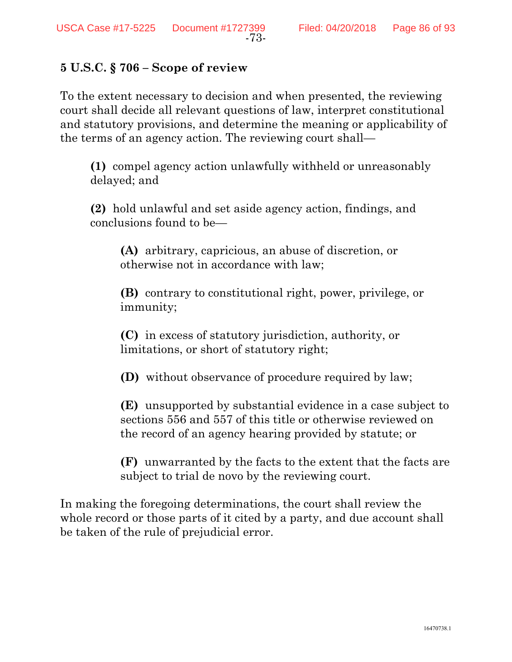#### **5 U.S.C. § 706 – Scope of review**

To the extent necessary to decision and when presented, the reviewing court shall decide all relevant questions of law, interpret constitutional and statutory provisions, and determine the meaning or applicability of the terms of an agency action. The reviewing court shall—

**(1)** compel agency action unlawfully withheld or unreasonably delayed; and

**(2)** hold unlawful and set aside agency action, findings, and conclusions found to be—

**(A)** arbitrary, capricious, an abuse of discretion, or otherwise not in accordance with law;

**(B)** contrary to constitutional right, power, privilege, or immunity;

**(C)** in excess of statutory jurisdiction, authority, or limitations, or short of statutory right;

**(D)** without observance of procedure required by law;

**(E)** unsupported by substantial evidence in a case subject to sections 556 and 557 of this title or otherwise reviewed on the record of an agency hearing provided by statute; or

**(F)** unwarranted by the facts to the extent that the facts are subject to trial de novo by the reviewing court.

In making the foregoing determinations, the court shall review the whole record or those parts of it cited by a party, and due account shall be taken of the rule of prejudicial error.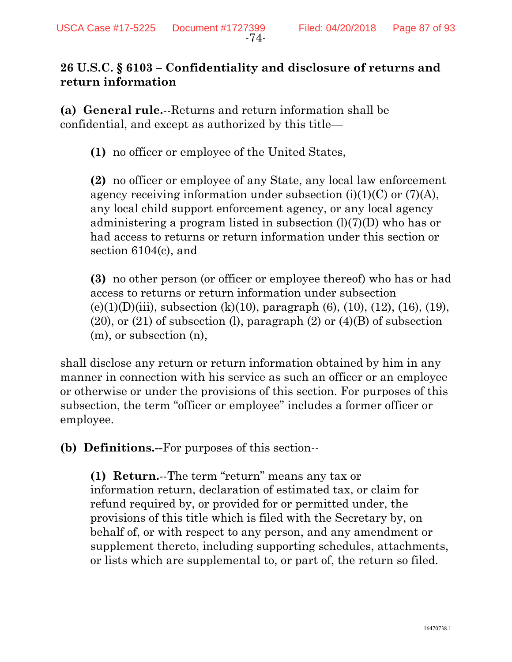## **26 U.S.C. § 6103 – Confidentiality and disclosure of returns and return information**

**(a) General rule.**--Returns and return information shall be confidential, and except as authorized by this title—

**(1)** no officer or employee of the United States,

**(2)** no officer or employee of any State, any local law enforcement agency receiving information under subsection  $(i)(1)(C)$  or  $(7)(A)$ , any local child support enforcement agency, or any local agency administering a program listed in subsection  $(l)(7)(D)$  who has or had access to returns or return information under this section or section 6104(c), and

**(3)** no other person (or officer or employee thereof) who has or had access to returns or return information under subsection (e)(1)(D)(iii), subsection (k)(10), paragraph (6), (10), (12), (16), (19),  $(20)$ , or  $(21)$  of subsection (l), paragraph  $(2)$  or  $(4)(B)$  of subsection (m), or subsection (n),

shall disclose any return or return information obtained by him in any manner in connection with his service as such an officer or an employee or otherwise or under the provisions of this section. For purposes of this subsection, the term "officer or employee" includes a former officer or employee.

**(b) Definitions.--**For purposes of this section--

**(1) Return.**--The term "return" means any tax or information return, declaration of estimated tax, or claim for refund required by, or provided for or permitted under, the provisions of this title which is filed with the Secretary by, on behalf of, or with respect to any person, and any amendment or supplement thereto, including supporting schedules, attachments, or lists which are supplemental to, or part of, the return so filed.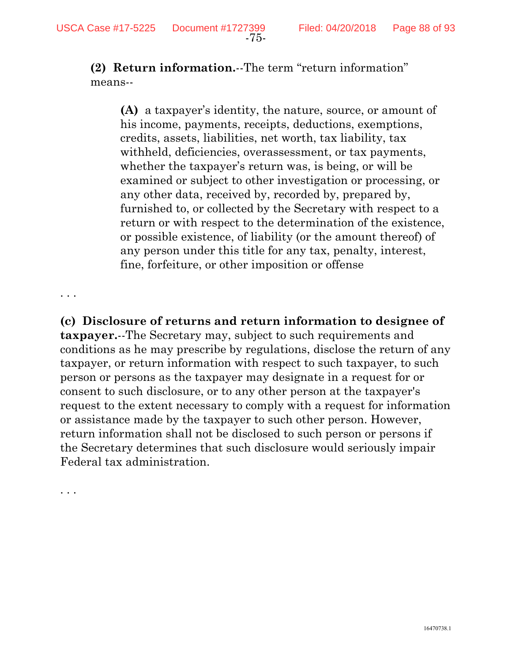**(2) Return information.**--The term "return information" means--

**(A)** a taxpayer's identity, the nature, source, or amount of his income, payments, receipts, deductions, exemptions, credits, assets, liabilities, net worth, tax liability, tax withheld, deficiencies, overassessment, or tax payments, whether the taxpayer's return was, is being, or will be examined or subject to other investigation or processing, or any other data, received by, recorded by, prepared by, furnished to, or collected by the Secretary with respect to a return or with respect to the determination of the existence, or possible existence, of liability (or the amount thereof) of any person under this title for any tax, penalty, interest, fine, forfeiture, or other imposition or offense

. . .

**(c) Disclosure of returns and return information to designee of taxpayer.**--The Secretary may, subject to such requirements and conditions as he may prescribe by regulations, disclose the return of any taxpayer, or return information with respect to such taxpayer, to such person or persons as the taxpayer may designate in a request for or consent to such disclosure, or to any other person at the taxpayer's request to the extent necessary to comply with a request for information or assistance made by the taxpayer to such other person. However, return information shall not be disclosed to such person or persons if the Secretary determines that such disclosure would seriously impair Federal tax administration.

. . .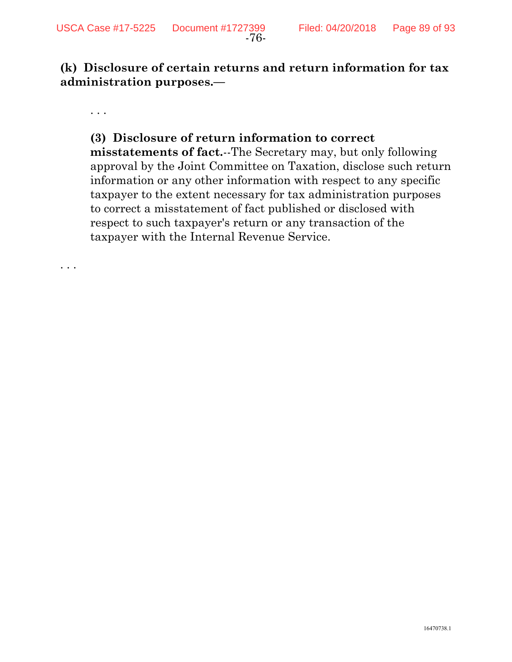**(k) Disclosure of certain returns and return information for tax administration purposes.—** 

. . .

. . .

#### **(3) Disclosure of return information to correct**

**misstatements of fact.**--The Secretary may, but only following approval by the Joint Committee on Taxation, disclose such return information or any other information with respect to any specific taxpayer to the extent necessary for tax administration purposes to correct a misstatement of fact published or disclosed with respect to such taxpayer's return or any transaction of the taxpayer with the Internal Revenue Service.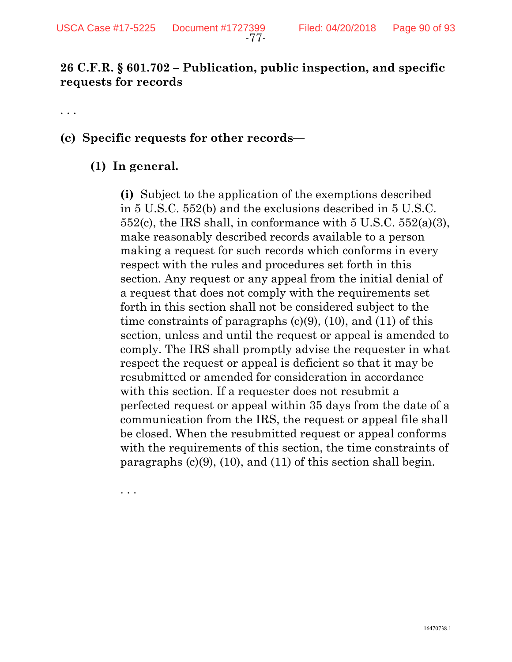## **26 C.F.R. § 601.702 – Publication, public inspection, and specific requests for records**

. . .

#### **(c) Specific requests for other records—**

#### **(1) In general.**

**(i)** Subject to the application of the exemptions described in 5 U.S.C. 552(b) and the exclusions described in 5 U.S.C.  $552(c)$ , the IRS shall, in conformance with  $5 \text{ U.S.C. } 552(a)(3)$ , make reasonably described records available to a person making a request for such records which conforms in every respect with the rules and procedures set forth in this section. Any request or any appeal from the initial denial of a request that does not comply with the requirements set forth in this section shall not be considered subject to the time constraints of paragraphs  $(c)(9)$ ,  $(10)$ , and  $(11)$  of this section, unless and until the request or appeal is amended to comply. The IRS shall promptly advise the requester in what respect the request or appeal is deficient so that it may be resubmitted or amended for consideration in accordance with this section. If a requester does not resubmit a perfected request or appeal within 35 days from the date of a communication from the IRS, the request or appeal file shall be closed. When the resubmitted request or appeal conforms with the requirements of this section, the time constraints of paragraphs  $(c)(9)$ ,  $(10)$ , and  $(11)$  of this section shall begin.

. . .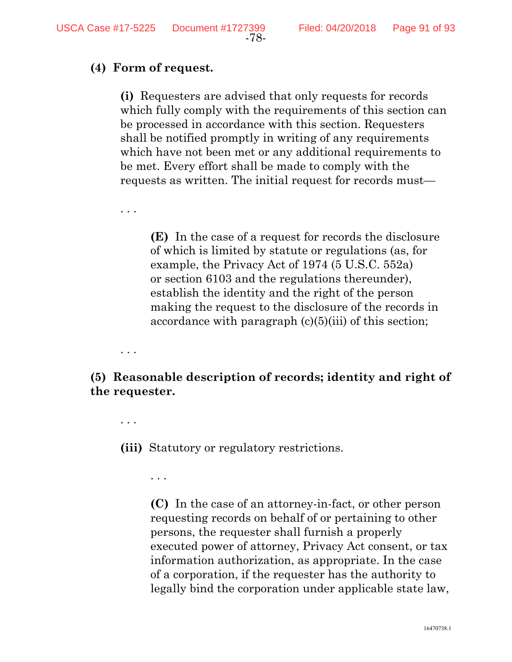#### **(4) Form of request.**

**(i)** Requesters are advised that only requests for records which fully comply with the requirements of this section can be processed in accordance with this section. Requesters shall be notified promptly in writing of any requirements which have not been met or any additional requirements to be met. Every effort shall be made to comply with the requests as written. The initial request for records must—

**(E)** In the case of a request for records the disclosure of which is limited by statute or regulations (as, for example, the Privacy Act of 1974 (5 U.S.C. 552a) or section 6103 and the regulations thereunder), establish the identity and the right of the person making the request to the disclosure of the records in accordance with paragraph  $(c)(5)(iii)$  of this section;

**(5) Reasonable description of records; identity and right of the requester.** 

. . .

. . .

. . .

**(iii)** Statutory or regulatory restrictions.

. . .

**(C)** In the case of an attorney-in-fact, or other person requesting records on behalf of or pertaining to other persons, the requester shall furnish a properly executed power of attorney, Privacy Act consent, or tax information authorization, as appropriate. In the case of a corporation, if the requester has the authority to legally bind the corporation under applicable state law,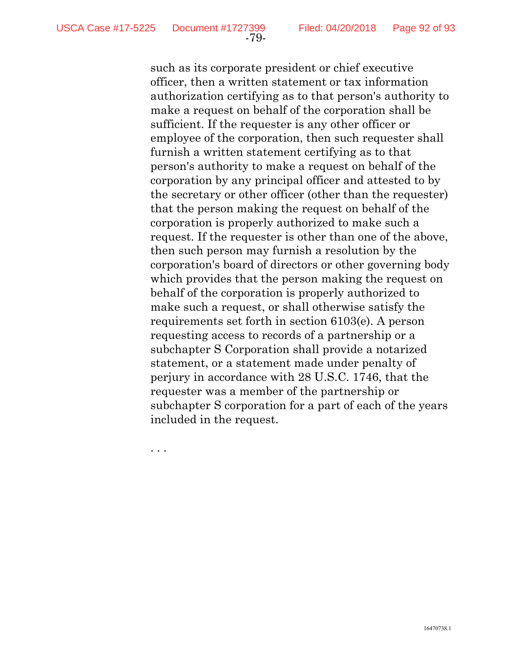such as its corporate president or chief executive officer, then a written statement or tax information authorization certifying as to that person's authority to make a request on behalf of the corporation shall be sufficient. If the requester is any other officer or employee of the corporation, then such requester shall furnish a written statement certifying as to that person's authority to make a request on behalf of the corporation by any principal officer and attested to by the secretary or other officer (other than the requester) that the person making the request on behalf of the corporation is properly authorized to make such a request. If the requester is other than one of the above, then such person may furnish a resolution by the corporation's board of directors or other governing body which provides that the person making the request on behalf of the corporation is properly authorized to make such a request, or shall otherwise satisfy the requirements set forth in section 6103(e). A person requesting access to records of a partnership or a subchapter S Corporation shall provide a notarized statement, or a statement made under penalty of perjury in accordance with 28 U.S.C. 1746, that the requester was a member of the partnership or subchapter S corporation for a part of each of the years included in the request.

. . .